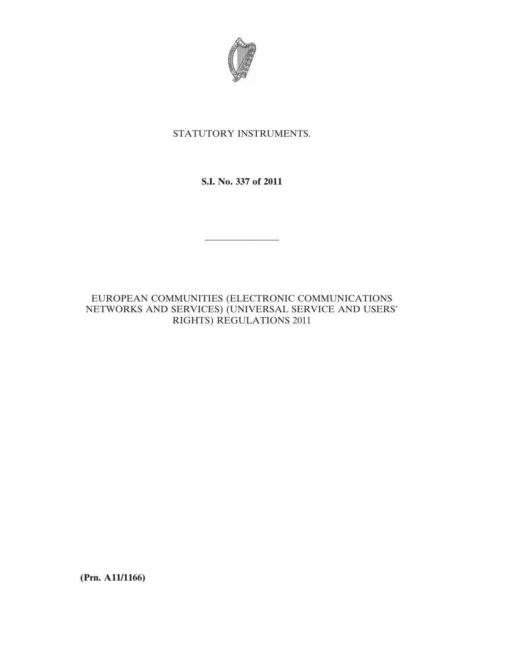

# STATUTORY INSTRUMENTS.

**S.I. No. 337 of 2011**

————————

# EUROPEAN COMMUNITIES (ELECTRONIC COMMUNICATIONS NETWORKS AND SERVICES) (UNIVERSAL SERVICE AND USERS' RIGHTS) REGULATIONS 2011

**(Prn. A11/1166)**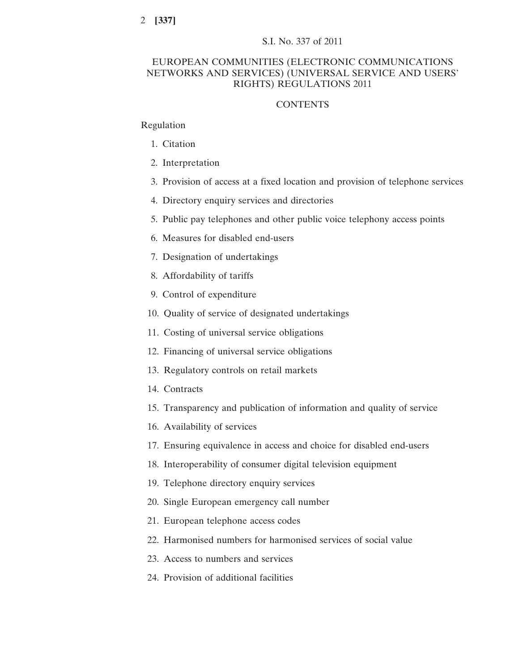# EUROPEAN COMMUNITIES (ELECTRONIC COMMUNICATIONS NETWORKS AND SERVICES) (UNIVERSAL SERVICE AND USERS' RIGHTS) REGULATIONS 2011

# **CONTENTS**

# Regulation

- 1. Citation
- 2. Interpretation
- 3. Provision of access at a fixed location and provision of telephone services
- 4. Directory enquiry services and directories
- 5. Public pay telephones and other public voice telephony access points
- 6. Measures for disabled end-users
- 7. Designation of undertakings
- 8. Affordability of tariffs
- 9. Control of expenditure
- 10. Quality of service of designated undertakings
- 11. Costing of universal service obligations
- 12. Financing of universal service obligations
- 13. Regulatory controls on retail markets
- 14. Contracts
- 15. Transparency and publication of information and quality of service
- 16. Availability of services
- 17. Ensuring equivalence in access and choice for disabled end-users
- 18. Interoperability of consumer digital television equipment
- 19. Telephone directory enquiry services
- 20. Single European emergency call number
- 21. European telephone access codes
- 22. Harmonised numbers for harmonised services of social value
- 23. Access to numbers and services
- 24. Provision of additional facilities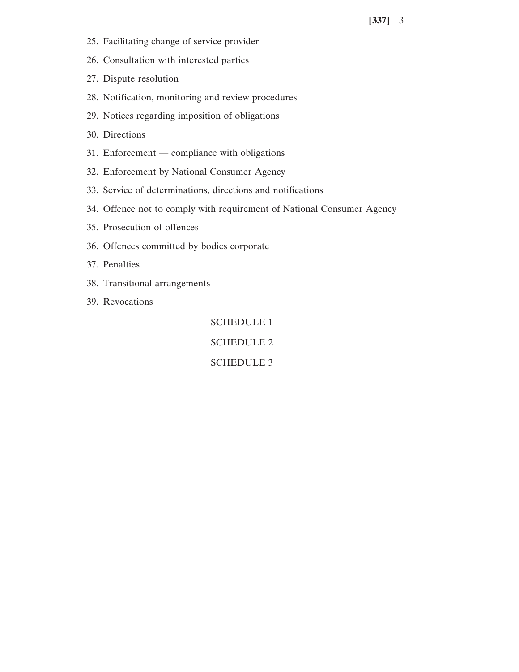- 25. Facilitating change of service provider
- 26. Consultation with interested parties
- 27. Dispute resolution
- 28. Notification, monitoring and review procedures
- 29. Notices regarding imposition of obligations
- 30. Directions
- 31. Enforcement compliance with obligations
- 32. Enforcement by National Consumer Agency
- 33. Service of determinations, directions and notifications
- 34. Offence not to comply with requirement of National Consumer Agency
- 35. Prosecution of offences
- 36. Offences committed by bodies corporate
- 37. Penalties
- 38. Transitional arrangements
- 39. Revocations

SCHEDULE 1

SCHEDULE 2

SCHEDULE 3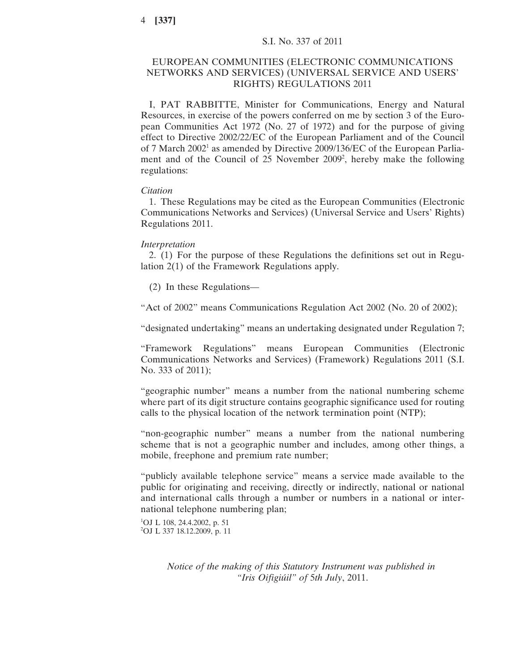# EUROPEAN COMMUNITIES (ELECTRONIC COMMUNICATIONS NETWORKS AND SERVICES) (UNIVERSAL SERVICE AND USERS' RIGHTS) REGULATIONS 2011

I, PAT RABBITTE, Minister for Communications, Energy and Natural Resources, in exercise of the powers conferred on me by section 3 of the European Communities Act 1972 (No. 27 of 1972) and for the purpose of giving effect to Directive 2002/22/EC of the European Parliament and of the Council of 7 March 20021 as amended by Directive 2009/136/EC of the European Parliament and of the Council of 25 November 2009<sup>2</sup>, hereby make the following regulations:

## *Citation*

1. These Regulations may be cited as the European Communities (Electronic Communications Networks and Services) (Universal Service and Users' Rights) Regulations 2011.

#### *Interpretation*

2. (1) For the purpose of these Regulations the definitions set out in Regulation 2(1) of the Framework Regulations apply.

(2) In these Regulations—

"Act of 2002" means Communications Regulation Act 2002 (No. 20 of 2002);

"designated undertaking" means an undertaking designated under Regulation 7;

"Framework Regulations" means European Communities (Electronic Communications Networks and Services) (Framework) Regulations 2011 (S.I. No. 333 of 2011);

"geographic number" means a number from the national numbering scheme where part of its digit structure contains geographic significance used for routing calls to the physical location of the network termination point (NTP);

"non-geographic number" means a number from the national numbering scheme that is not a geographic number and includes, among other things, a mobile, freephone and premium rate number;

"publicly available telephone service" means a service made available to the public for originating and receiving, directly or indirectly, national or national and international calls through a number or numbers in a national or international telephone numbering plan;

1 OJ L 108, 24.4.2002, p. 51 2 OJ L 337 18.12.2009, p. 11

> *Notice of the making of this Statutory Instrument was published in "Iris Oifigiúil" of* 5*th July*, 2011.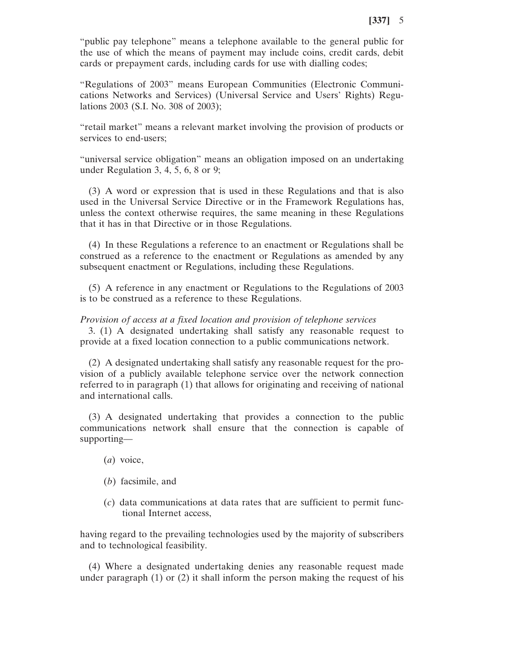"public pay telephone" means a telephone available to the general public for the use of which the means of payment may include coins, credit cards, debit cards or prepayment cards, including cards for use with dialling codes;

"Regulations of 2003" means European Communities (Electronic Communications Networks and Services) (Universal Service and Users' Rights) Regulations 2003 (S.I. No. 308 of 2003);

"retail market" means a relevant market involving the provision of products or services to end-users;

"universal service obligation" means an obligation imposed on an undertaking under Regulation 3, 4, 5, 6, 8 or 9;

(3) A word or expression that is used in these Regulations and that is also used in the Universal Service Directive or in the Framework Regulations has, unless the context otherwise requires, the same meaning in these Regulations that it has in that Directive or in those Regulations.

(4) In these Regulations a reference to an enactment or Regulations shall be construed as a reference to the enactment or Regulations as amended by any subsequent enactment or Regulations, including these Regulations.

(5) A reference in any enactment or Regulations to the Regulations of 2003 is to be construed as a reference to these Regulations.

#### *Provision of access at a fixed location and provision of telephone services*

3. (1) A designated undertaking shall satisfy any reasonable request to provide at a fixed location connection to a public communications network.

(2) A designated undertaking shall satisfy any reasonable request for the provision of a publicly available telephone service over the network connection referred to in paragraph (1) that allows for originating and receiving of national and international calls.

(3) A designated undertaking that provides a connection to the public communications network shall ensure that the connection is capable of supporting—

- (*a*) voice,
- (*b*) facsimile, and
- (*c*) data communications at data rates that are sufficient to permit functional Internet access,

having regard to the prevailing technologies used by the majority of subscribers and to technological feasibility.

(4) Where a designated undertaking denies any reasonable request made under paragraph (1) or (2) it shall inform the person making the request of his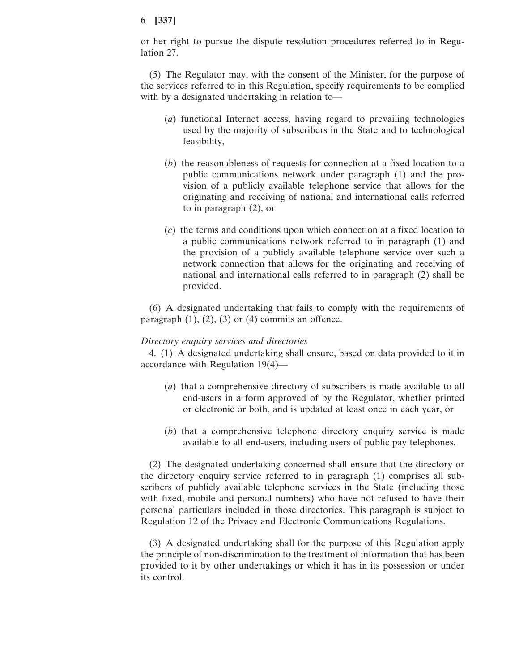or her right to pursue the dispute resolution procedures referred to in Regulation 27.

(5) The Regulator may, with the consent of the Minister, for the purpose of the services referred to in this Regulation, specify requirements to be complied with by a designated undertaking in relation to—

- (*a*) functional Internet access, having regard to prevailing technologies used by the majority of subscribers in the State and to technological feasibility,
- (*b*) the reasonableness of requests for connection at a fixed location to a public communications network under paragraph (1) and the provision of a publicly available telephone service that allows for the originating and receiving of national and international calls referred to in paragraph (2), or
- (*c*) the terms and conditions upon which connection at a fixed location to a public communications network referred to in paragraph (1) and the provision of a publicly available telephone service over such a network connection that allows for the originating and receiving of national and international calls referred to in paragraph (2) shall be provided.

(6) A designated undertaking that fails to comply with the requirements of paragraph  $(1)$ ,  $(2)$ ,  $(3)$  or  $(4)$  commits an offence.

### *Directory enquiry services and directories*

4. (1) A designated undertaking shall ensure, based on data provided to it in accordance with Regulation 19(4)—

- (*a*) that a comprehensive directory of subscribers is made available to all end-users in a form approved of by the Regulator, whether printed or electronic or both, and is updated at least once in each year, or
- (*b*) that a comprehensive telephone directory enquiry service is made available to all end-users, including users of public pay telephones.

(2) The designated undertaking concerned shall ensure that the directory or the directory enquiry service referred to in paragraph (1) comprises all subscribers of publicly available telephone services in the State (including those with fixed, mobile and personal numbers) who have not refused to have their personal particulars included in those directories. This paragraph is subject to Regulation 12 of the Privacy and Electronic Communications Regulations.

(3) A designated undertaking shall for the purpose of this Regulation apply the principle of non-discrimination to the treatment of information that has been provided to it by other undertakings or which it has in its possession or under its control.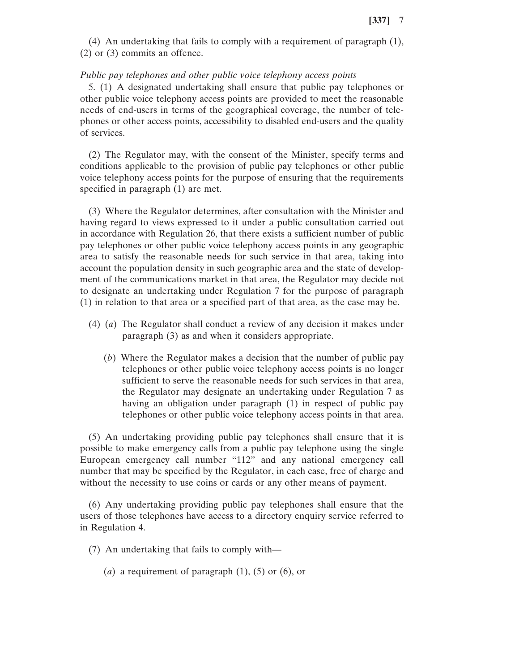(4) An undertaking that fails to comply with a requirement of paragraph (1), (2) or (3) commits an offence.

#### *Public pay telephones and other public voice telephony access points*

5. (1) A designated undertaking shall ensure that public pay telephones or other public voice telephony access points are provided to meet the reasonable needs of end-users in terms of the geographical coverage, the number of telephones or other access points, accessibility to disabled end-users and the quality of services.

(2) The Regulator may, with the consent of the Minister, specify terms and conditions applicable to the provision of public pay telephones or other public voice telephony access points for the purpose of ensuring that the requirements specified in paragraph (1) are met.

(3) Where the Regulator determines, after consultation with the Minister and having regard to views expressed to it under a public consultation carried out in accordance with Regulation 26, that there exists a sufficient number of public pay telephones or other public voice telephony access points in any geographic area to satisfy the reasonable needs for such service in that area, taking into account the population density in such geographic area and the state of development of the communications market in that area, the Regulator may decide not to designate an undertaking under Regulation 7 for the purpose of paragraph (1) in relation to that area or a specified part of that area, as the case may be.

- (4) (*a*) The Regulator shall conduct a review of any decision it makes under paragraph (3) as and when it considers appropriate.
	- (*b*) Where the Regulator makes a decision that the number of public pay telephones or other public voice telephony access points is no longer sufficient to serve the reasonable needs for such services in that area, the Regulator may designate an undertaking under Regulation 7 as having an obligation under paragraph (1) in respect of public pay telephones or other public voice telephony access points in that area.

(5) An undertaking providing public pay telephones shall ensure that it is possible to make emergency calls from a public pay telephone using the single European emergency call number "112" and any national emergency call number that may be specified by the Regulator, in each case, free of charge and without the necessity to use coins or cards or any other means of payment.

(6) Any undertaking providing public pay telephones shall ensure that the users of those telephones have access to a directory enquiry service referred to in Regulation 4.

(7) An undertaking that fails to comply with—

(*a*) a requirement of paragraph (1), (5) or (6), or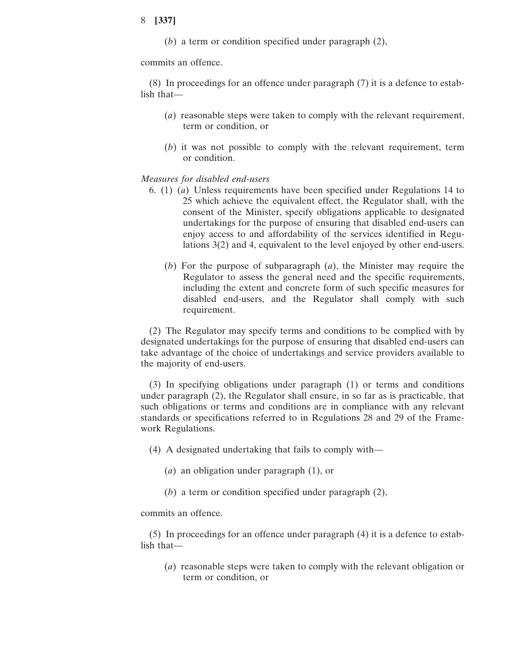(*b*) a term or condition specified under paragraph (2),

commits an offence.

(8) In proceedings for an offence under paragraph (7) it is a defence to establish that—

- (*a*) reasonable steps were taken to comply with the relevant requirement, term or condition, or
- (*b*) it was not possible to comply with the relevant requirement, term or condition.

#### *Measures for disabled end-users*

- 6. (1) (*a*) Unless requirements have been specified under Regulations 14 to 25 which achieve the equivalent effect, the Regulator shall, with the consent of the Minister, specify obligations applicable to designated undertakings for the purpose of ensuring that disabled end-users can enjoy access to and affordability of the services identified in Regulations 3(2) and 4, equivalent to the level enjoyed by other end-users.
	- (*b*) For the purpose of subparagraph (*a*), the Minister may require the Regulator to assess the general need and the specific requirements, including the extent and concrete form of such specific measures for disabled end-users, and the Regulator shall comply with such requirement.

(2) The Regulator may specify terms and conditions to be complied with by designated undertakings for the purpose of ensuring that disabled end-users can take advantage of the choice of undertakings and service providers available to the majority of end-users.

(3) In specifying obligations under paragraph (1) or terms and conditions under paragraph (2), the Regulator shall ensure, in so far as is practicable, that such obligations or terms and conditions are in compliance with any relevant standards or specifications referred to in Regulations 28 and 29 of the Framework Regulations.

(4) A designated undertaking that fails to comply with—

- (*a*) an obligation under paragraph (1), or
- (*b*) a term or condition specified under paragraph (2),

commits an offence.

(5) In proceedings for an offence under paragraph (4) it is a defence to establish that—

(*a*) reasonable steps were taken to comply with the relevant obligation or term or condition, or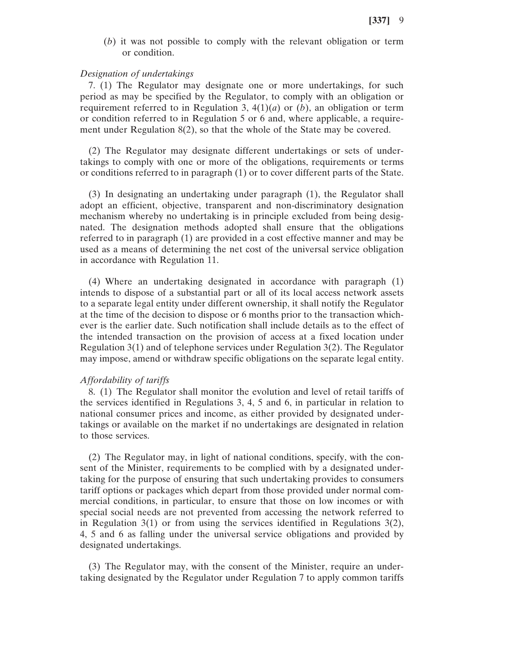(*b*) it was not possible to comply with the relevant obligation or term or condition.

#### *Designation of undertakings*

7. (1) The Regulator may designate one or more undertakings, for such period as may be specified by the Regulator, to comply with an obligation or requirement referred to in Regulation 3,  $4(1)(a)$  or  $(b)$ , an obligation or term or condition referred to in Regulation 5 or 6 and, where applicable, a requirement under Regulation  $8(2)$ , so that the whole of the State may be covered.

(2) The Regulator may designate different undertakings or sets of undertakings to comply with one or more of the obligations, requirements or terms or conditions referred to in paragraph (1) or to cover different parts of the State.

(3) In designating an undertaking under paragraph (1), the Regulator shall adopt an efficient, objective, transparent and non-discriminatory designation mechanism whereby no undertaking is in principle excluded from being designated. The designation methods adopted shall ensure that the obligations referred to in paragraph (1) are provided in a cost effective manner and may be used as a means of determining the net cost of the universal service obligation in accordance with Regulation 11.

(4) Where an undertaking designated in accordance with paragraph (1) intends to dispose of a substantial part or all of its local access network assets to a separate legal entity under different ownership, it shall notify the Regulator at the time of the decision to dispose or 6 months prior to the transaction whichever is the earlier date. Such notification shall include details as to the effect of the intended transaction on the provision of access at a fixed location under Regulation 3(1) and of telephone services under Regulation 3(2). The Regulator may impose, amend or withdraw specific obligations on the separate legal entity.

#### *Affordability of tariffs*

8. (1) The Regulator shall monitor the evolution and level of retail tariffs of the services identified in Regulations 3, 4, 5 and 6, in particular in relation to national consumer prices and income, as either provided by designated undertakings or available on the market if no undertakings are designated in relation to those services.

(2) The Regulator may, in light of national conditions, specify, with the consent of the Minister, requirements to be complied with by a designated undertaking for the purpose of ensuring that such undertaking provides to consumers tariff options or packages which depart from those provided under normal commercial conditions, in particular, to ensure that those on low incomes or with special social needs are not prevented from accessing the network referred to in Regulation  $3(1)$  or from using the services identified in Regulations  $3(2)$ , 4, 5 and 6 as falling under the universal service obligations and provided by designated undertakings.

(3) The Regulator may, with the consent of the Minister, require an undertaking designated by the Regulator under Regulation 7 to apply common tariffs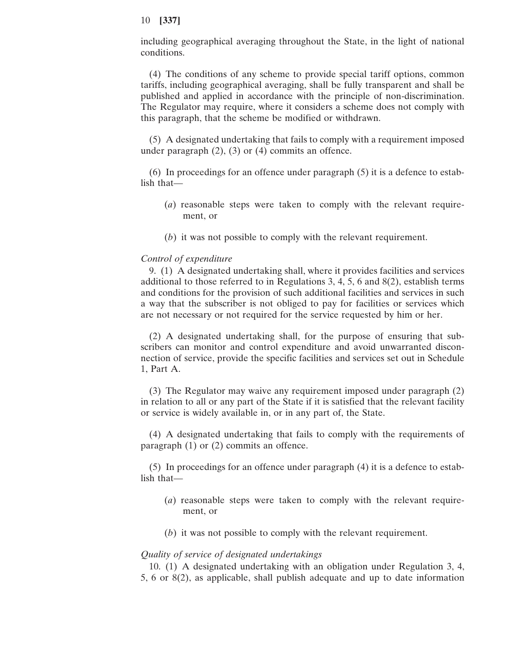including geographical averaging throughout the State, in the light of national conditions.

(4) The conditions of any scheme to provide special tariff options, common tariffs, including geographical averaging, shall be fully transparent and shall be published and applied in accordance with the principle of non-discrimination. The Regulator may require, where it considers a scheme does not comply with this paragraph, that the scheme be modified or withdrawn.

(5) A designated undertaking that fails to comply with a requirement imposed under paragraph  $(2)$ ,  $(3)$  or  $(4)$  commits an offence.

(6) In proceedings for an offence under paragraph (5) it is a defence to establish that—

- (*a*) reasonable steps were taken to comply with the relevant requirement, or
- (*b*) it was not possible to comply with the relevant requirement.

#### *Control of expenditure*

9. (1) A designated undertaking shall, where it provides facilities and services additional to those referred to in Regulations 3, 4, 5, 6 and 8(2), establish terms and conditions for the provision of such additional facilities and services in such a way that the subscriber is not obliged to pay for facilities or services which are not necessary or not required for the service requested by him or her.

(2) A designated undertaking shall, for the purpose of ensuring that subscribers can monitor and control expenditure and avoid unwarranted disconnection of service, provide the specific facilities and services set out in Schedule 1, Part A.

(3) The Regulator may waive any requirement imposed under paragraph (2) in relation to all or any part of the State if it is satisfied that the relevant facility or service is widely available in, or in any part of, the State.

(4) A designated undertaking that fails to comply with the requirements of paragraph (1) or (2) commits an offence.

(5) In proceedings for an offence under paragraph (4) it is a defence to establish that—

- (*a*) reasonable steps were taken to comply with the relevant requirement, or
- (*b*) it was not possible to comply with the relevant requirement.

#### *Quality of service of designated undertakings*

10. (1) A designated undertaking with an obligation under Regulation 3, 4, 5, 6 or 8(2), as applicable, shall publish adequate and up to date information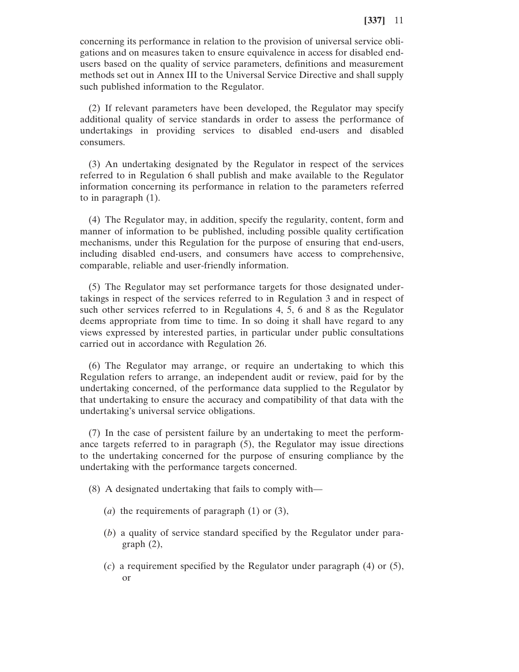concerning its performance in relation to the provision of universal service obligations and on measures taken to ensure equivalence in access for disabled endusers based on the quality of service parameters, definitions and measurement methods set out in Annex III to the Universal Service Directive and shall supply such published information to the Regulator.

(2) If relevant parameters have been developed, the Regulator may specify additional quality of service standards in order to assess the performance of undertakings in providing services to disabled end-users and disabled consumers.

(3) An undertaking designated by the Regulator in respect of the services referred to in Regulation 6 shall publish and make available to the Regulator information concerning its performance in relation to the parameters referred to in paragraph (1).

(4) The Regulator may, in addition, specify the regularity, content, form and manner of information to be published, including possible quality certification mechanisms, under this Regulation for the purpose of ensuring that end-users, including disabled end-users, and consumers have access to comprehensive, comparable, reliable and user-friendly information.

(5) The Regulator may set performance targets for those designated undertakings in respect of the services referred to in Regulation 3 and in respect of such other services referred to in Regulations 4, 5, 6 and 8 as the Regulator deems appropriate from time to time. In so doing it shall have regard to any views expressed by interested parties, in particular under public consultations carried out in accordance with Regulation 26.

(6) The Regulator may arrange, or require an undertaking to which this Regulation refers to arrange, an independent audit or review, paid for by the undertaking concerned, of the performance data supplied to the Regulator by that undertaking to ensure the accuracy and compatibility of that data with the undertaking's universal service obligations.

(7) In the case of persistent failure by an undertaking to meet the performance targets referred to in paragraph (5), the Regulator may issue directions to the undertaking concerned for the purpose of ensuring compliance by the undertaking with the performance targets concerned.

(8) A designated undertaking that fails to comply with—

- (*a*) the requirements of paragraph (1) or (3),
- (*b*) a quality of service standard specified by the Regulator under paragraph (2),
- (*c*) a requirement specified by the Regulator under paragraph (4) or (5), or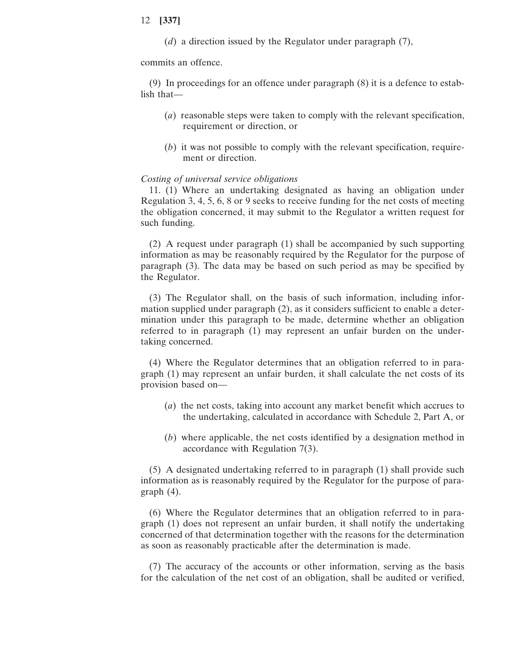(*d*) a direction issued by the Regulator under paragraph (7),

commits an offence.

(9) In proceedings for an offence under paragraph (8) it is a defence to establish that—

- (*a*) reasonable steps were taken to comply with the relevant specification, requirement or direction, or
- (*b*) it was not possible to comply with the relevant specification, requirement or direction.

#### *Costing of universal service obligations*

11. (1) Where an undertaking designated as having an obligation under Regulation 3, 4, 5, 6, 8 or 9 seeks to receive funding for the net costs of meeting the obligation concerned, it may submit to the Regulator a written request for such funding.

(2) A request under paragraph (1) shall be accompanied by such supporting information as may be reasonably required by the Regulator for the purpose of paragraph (3). The data may be based on such period as may be specified by the Regulator.

(3) The Regulator shall, on the basis of such information, including information supplied under paragraph (2), as it considers sufficient to enable a determination under this paragraph to be made, determine whether an obligation referred to in paragraph (1) may represent an unfair burden on the undertaking concerned.

(4) Where the Regulator determines that an obligation referred to in paragraph (1) may represent an unfair burden, it shall calculate the net costs of its provision based on—

- (*a*) the net costs, taking into account any market benefit which accrues to the undertaking, calculated in accordance with Schedule 2, Part A, or
- (*b*) where applicable, the net costs identified by a designation method in accordance with Regulation 7(3).

(5) A designated undertaking referred to in paragraph (1) shall provide such information as is reasonably required by the Regulator for the purpose of paragraph (4).

(6) Where the Regulator determines that an obligation referred to in paragraph (1) does not represent an unfair burden, it shall notify the undertaking concerned of that determination together with the reasons for the determination as soon as reasonably practicable after the determination is made.

(7) The accuracy of the accounts or other information, serving as the basis for the calculation of the net cost of an obligation, shall be audited or verified,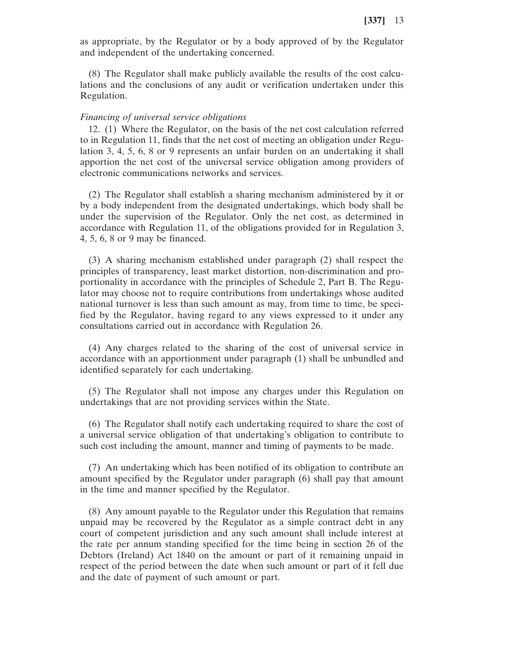as appropriate, by the Regulator or by a body approved of by the Regulator and independent of the undertaking concerned.

(8) The Regulator shall make publicly available the results of the cost calculations and the conclusions of any audit or verification undertaken under this Regulation.

#### *Financing of universal service obligations*

12. (1) Where the Regulator, on the basis of the net cost calculation referred to in Regulation 11, finds that the net cost of meeting an obligation under Regulation 3, 4, 5, 6, 8 or 9 represents an unfair burden on an undertaking it shall apportion the net cost of the universal service obligation among providers of electronic communications networks and services.

(2) The Regulator shall establish a sharing mechanism administered by it or by a body independent from the designated undertakings, which body shall be under the supervision of the Regulator. Only the net cost, as determined in accordance with Regulation 11, of the obligations provided for in Regulation 3, 4, 5, 6, 8 or 9 may be financed.

(3) A sharing mechanism established under paragraph (2) shall respect the principles of transparency, least market distortion, non-discrimination and proportionality in accordance with the principles of Schedule 2, Part B. The Regulator may choose not to require contributions from undertakings whose audited national turnover is less than such amount as may, from time to time, be specified by the Regulator, having regard to any views expressed to it under any consultations carried out in accordance with Regulation 26.

(4) Any charges related to the sharing of the cost of universal service in accordance with an apportionment under paragraph (1) shall be unbundled and identified separately for each undertaking.

(5) The Regulator shall not impose any charges under this Regulation on undertakings that are not providing services within the State.

(6) The Regulator shall notify each undertaking required to share the cost of a universal service obligation of that undertaking's obligation to contribute to such cost including the amount, manner and timing of payments to be made.

(7) An undertaking which has been notified of its obligation to contribute an amount specified by the Regulator under paragraph (6) shall pay that amount in the time and manner specified by the Regulator.

(8) Any amount payable to the Regulator under this Regulation that remains unpaid may be recovered by the Regulator as a simple contract debt in any court of competent jurisdiction and any such amount shall include interest at the rate per annum standing specified for the time being in section 26 of the Debtors (Ireland) Act 1840 on the amount or part of it remaining unpaid in respect of the period between the date when such amount or part of it fell due and the date of payment of such amount or part.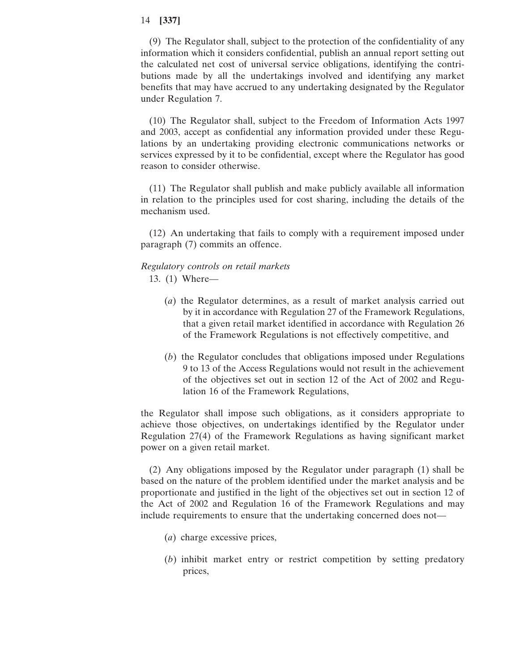(9) The Regulator shall, subject to the protection of the confidentiality of any information which it considers confidential, publish an annual report setting out the calculated net cost of universal service obligations, identifying the contributions made by all the undertakings involved and identifying any market benefits that may have accrued to any undertaking designated by the Regulator under Regulation 7.

(10) The Regulator shall, subject to the Freedom of Information Acts 1997 and 2003, accept as confidential any information provided under these Regulations by an undertaking providing electronic communications networks or services expressed by it to be confidential, except where the Regulator has good reason to consider otherwise.

(11) The Regulator shall publish and make publicly available all information in relation to the principles used for cost sharing, including the details of the mechanism used.

(12) An undertaking that fails to comply with a requirement imposed under paragraph (7) commits an offence.

# *Regulatory controls on retail markets*

- 13. (1) Where—
	- (*a*) the Regulator determines, as a result of market analysis carried out by it in accordance with Regulation 27 of the Framework Regulations, that a given retail market identified in accordance with Regulation 26 of the Framework Regulations is not effectively competitive, and
	- (*b*) the Regulator concludes that obligations imposed under Regulations 9 to 13 of the Access Regulations would not result in the achievement of the objectives set out in section 12 of the Act of 2002 and Regulation 16 of the Framework Regulations,

the Regulator shall impose such obligations, as it considers appropriate to achieve those objectives, on undertakings identified by the Regulator under Regulation 27(4) of the Framework Regulations as having significant market power on a given retail market.

(2) Any obligations imposed by the Regulator under paragraph (1) shall be based on the nature of the problem identified under the market analysis and be proportionate and justified in the light of the objectives set out in section 12 of the Act of 2002 and Regulation 16 of the Framework Regulations and may include requirements to ensure that the undertaking concerned does not—

- (*a*) charge excessive prices,
- (*b*) inhibit market entry or restrict competition by setting predatory prices,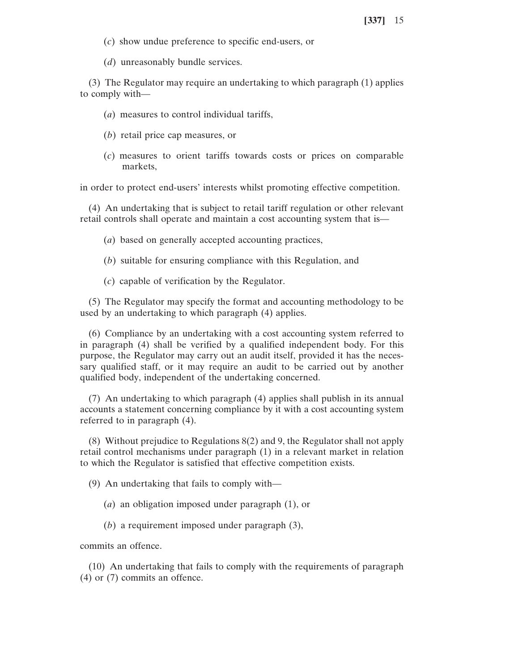- (*c*) show undue preference to specific end-users, or
- (*d*) unreasonably bundle services.

(3) The Regulator may require an undertaking to which paragraph (1) applies to comply with—

- (*a*) measures to control individual tariffs,
- (*b*) retail price cap measures, or
- (*c*) measures to orient tariffs towards costs or prices on comparable markets,

in order to protect end-users' interests whilst promoting effective competition.

(4) An undertaking that is subject to retail tariff regulation or other relevant retail controls shall operate and maintain a cost accounting system that is—

- (*a*) based on generally accepted accounting practices,
- (*b*) suitable for ensuring compliance with this Regulation, and
- (*c*) capable of verification by the Regulator.

(5) The Regulator may specify the format and accounting methodology to be used by an undertaking to which paragraph (4) applies.

(6) Compliance by an undertaking with a cost accounting system referred to in paragraph (4) shall be verified by a qualified independent body. For this purpose, the Regulator may carry out an audit itself, provided it has the necessary qualified staff, or it may require an audit to be carried out by another qualified body, independent of the undertaking concerned.

(7) An undertaking to which paragraph (4) applies shall publish in its annual accounts a statement concerning compliance by it with a cost accounting system referred to in paragraph (4).

(8) Without prejudice to Regulations 8(2) and 9, the Regulator shall not apply retail control mechanisms under paragraph (1) in a relevant market in relation to which the Regulator is satisfied that effective competition exists.

(9) An undertaking that fails to comply with—

- (*a*) an obligation imposed under paragraph (1), or
- (*b*) a requirement imposed under paragraph (3),

commits an offence.

(10) An undertaking that fails to comply with the requirements of paragraph (4) or (7) commits an offence.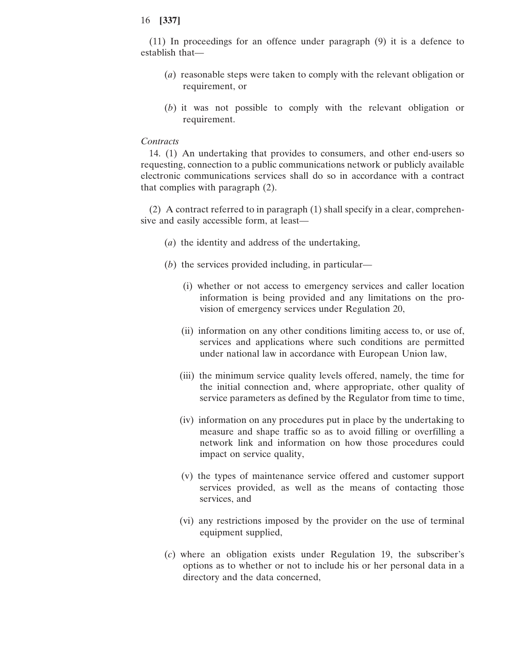(11) In proceedings for an offence under paragraph (9) it is a defence to establish that—

- (*a*) reasonable steps were taken to comply with the relevant obligation or requirement, or
- (*b*) it was not possible to comply with the relevant obligation or requirement.

### *Contracts*

14. (1) An undertaking that provides to consumers, and other end-users so requesting, connection to a public communications network or publicly available electronic communications services shall do so in accordance with a contract that complies with paragraph (2).

(2) A contract referred to in paragraph (1) shall specify in a clear, comprehensive and easily accessible form, at least—

- (*a*) the identity and address of the undertaking,
- (*b*) the services provided including, in particular—
	- (i) whether or not access to emergency services and caller location information is being provided and any limitations on the provision of emergency services under Regulation 20,
	- (ii) information on any other conditions limiting access to, or use of, services and applications where such conditions are permitted under national law in accordance with European Union law,
	- (iii) the minimum service quality levels offered, namely, the time for the initial connection and, where appropriate, other quality of service parameters as defined by the Regulator from time to time,
	- (iv) information on any procedures put in place by the undertaking to measure and shape traffic so as to avoid filling or overfilling a network link and information on how those procedures could impact on service quality,
	- (v) the types of maintenance service offered and customer support services provided, as well as the means of contacting those services, and
	- (vi) any restrictions imposed by the provider on the use of terminal equipment supplied,
- (*c*) where an obligation exists under Regulation 19, the subscriber's options as to whether or not to include his or her personal data in a directory and the data concerned,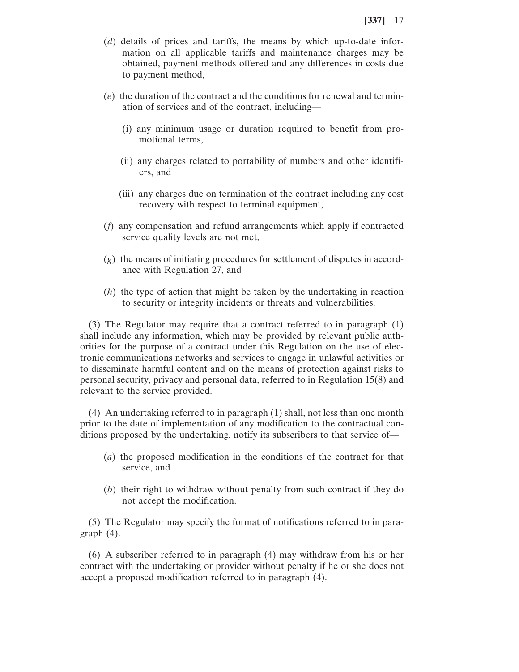- (*d*) details of prices and tariffs, the means by which up-to-date information on all applicable tariffs and maintenance charges may be obtained, payment methods offered and any differences in costs due to payment method,
- (*e*) the duration of the contract and the conditions for renewal and termination of services and of the contract, including—
	- (i) any minimum usage or duration required to benefit from promotional terms,
	- (ii) any charges related to portability of numbers and other identifiers, and
	- (iii) any charges due on termination of the contract including any cost recovery with respect to terminal equipment,
- (*f*) any compensation and refund arrangements which apply if contracted service quality levels are not met,
- (*g*) the means of initiating procedures for settlement of disputes in accordance with Regulation 27, and
- (*h*) the type of action that might be taken by the undertaking in reaction to security or integrity incidents or threats and vulnerabilities.

(3) The Regulator may require that a contract referred to in paragraph (1) shall include any information, which may be provided by relevant public authorities for the purpose of a contract under this Regulation on the use of electronic communications networks and services to engage in unlawful activities or to disseminate harmful content and on the means of protection against risks to personal security, privacy and personal data, referred to in Regulation 15(8) and relevant to the service provided.

(4) An undertaking referred to in paragraph (1) shall, not less than one month prior to the date of implementation of any modification to the contractual conditions proposed by the undertaking, notify its subscribers to that service of—

- (*a*) the proposed modification in the conditions of the contract for that service, and
- (*b*) their right to withdraw without penalty from such contract if they do not accept the modification.

(5) The Regulator may specify the format of notifications referred to in paragraph (4).

(6) A subscriber referred to in paragraph (4) may withdraw from his or her contract with the undertaking or provider without penalty if he or she does not accept a proposed modification referred to in paragraph (4).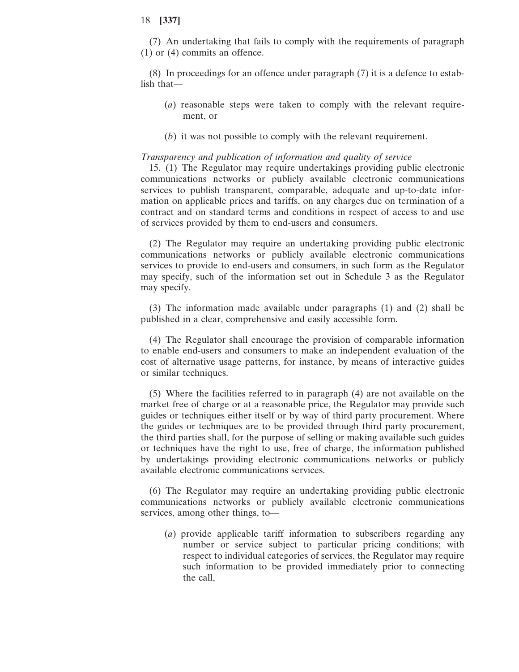(7) An undertaking that fails to comply with the requirements of paragraph (1) or (4) commits an offence.

(8) In proceedings for an offence under paragraph (7) it is a defence to establish that—

- (*a*) reasonable steps were taken to comply with the relevant requirement, or
- (*b*) it was not possible to comply with the relevant requirement.

#### *Transparency and publication of information and quality of service*

15. (1) The Regulator may require undertakings providing public electronic communications networks or publicly available electronic communications services to publish transparent, comparable, adequate and up-to-date information on applicable prices and tariffs, on any charges due on termination of a contract and on standard terms and conditions in respect of access to and use of services provided by them to end-users and consumers.

(2) The Regulator may require an undertaking providing public electronic communications networks or publicly available electronic communications services to provide to end-users and consumers, in such form as the Regulator may specify, such of the information set out in Schedule 3 as the Regulator may specify.

(3) The information made available under paragraphs (1) and (2) shall be published in a clear, comprehensive and easily accessible form.

(4) The Regulator shall encourage the provision of comparable information to enable end-users and consumers to make an independent evaluation of the cost of alternative usage patterns, for instance, by means of interactive guides or similar techniques.

(5) Where the facilities referred to in paragraph (4) are not available on the market free of charge or at a reasonable price, the Regulator may provide such guides or techniques either itself or by way of third party procurement. Where the guides or techniques are to be provided through third party procurement, the third parties shall, for the purpose of selling or making available such guides or techniques have the right to use, free of charge, the information published by undertakings providing electronic communications networks or publicly available electronic communications services.

(6) The Regulator may require an undertaking providing public electronic communications networks or publicly available electronic communications services, among other things, to—

(*a*) provide applicable tariff information to subscribers regarding any number or service subject to particular pricing conditions; with respect to individual categories of services, the Regulator may require such information to be provided immediately prior to connecting the call,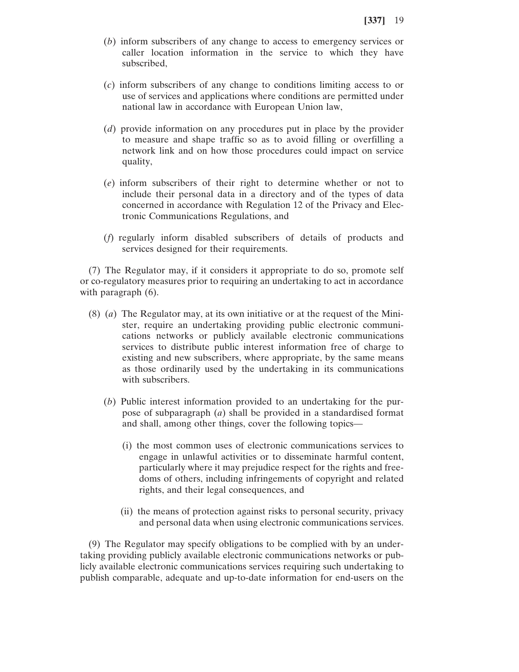- (*b*) inform subscribers of any change to access to emergency services or caller location information in the service to which they have subscribed,
- (*c*) inform subscribers of any change to conditions limiting access to or use of services and applications where conditions are permitted under national law in accordance with European Union law,
- (*d*) provide information on any procedures put in place by the provider to measure and shape traffic so as to avoid filling or overfilling a network link and on how those procedures could impact on service quality,
- (*e*) inform subscribers of their right to determine whether or not to include their personal data in a directory and of the types of data concerned in accordance with Regulation 12 of the Privacy and Electronic Communications Regulations, and
- (*f*) regularly inform disabled subscribers of details of products and services designed for their requirements.

(7) The Regulator may, if it considers it appropriate to do so, promote self or co-regulatory measures prior to requiring an undertaking to act in accordance with paragraph  $(6)$ .

- (8) (*a*) The Regulator may, at its own initiative or at the request of the Minister, require an undertaking providing public electronic communications networks or publicly available electronic communications services to distribute public interest information free of charge to existing and new subscribers, where appropriate, by the same means as those ordinarily used by the undertaking in its communications with subscribers.
	- (*b*) Public interest information provided to an undertaking for the purpose of subparagraph (*a*) shall be provided in a standardised format and shall, among other things, cover the following topics—
		- (i) the most common uses of electronic communications services to engage in unlawful activities or to disseminate harmful content, particularly where it may prejudice respect for the rights and freedoms of others, including infringements of copyright and related rights, and their legal consequences, and
		- (ii) the means of protection against risks to personal security, privacy and personal data when using electronic communications services.

(9) The Regulator may specify obligations to be complied with by an undertaking providing publicly available electronic communications networks or publicly available electronic communications services requiring such undertaking to publish comparable, adequate and up-to-date information for end-users on the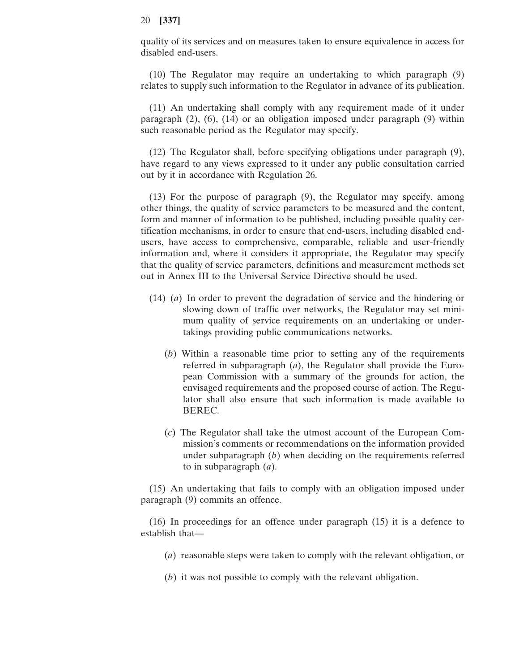quality of its services and on measures taken to ensure equivalence in access for disabled end-users.

(10) The Regulator may require an undertaking to which paragraph (9) relates to supply such information to the Regulator in advance of its publication.

(11) An undertaking shall comply with any requirement made of it under paragraph  $(2)$ ,  $(6)$ ,  $(14)$  or an obligation imposed under paragraph  $(9)$  within such reasonable period as the Regulator may specify.

(12) The Regulator shall, before specifying obligations under paragraph (9), have regard to any views expressed to it under any public consultation carried out by it in accordance with Regulation 26.

(13) For the purpose of paragraph (9), the Regulator may specify, among other things, the quality of service parameters to be measured and the content, form and manner of information to be published, including possible quality certification mechanisms, in order to ensure that end-users, including disabled endusers, have access to comprehensive, comparable, reliable and user-friendly information and, where it considers it appropriate, the Regulator may specify that the quality of service parameters, definitions and measurement methods set out in Annex III to the Universal Service Directive should be used.

- (14) (*a*) In order to prevent the degradation of service and the hindering or slowing down of traffic over networks, the Regulator may set minimum quality of service requirements on an undertaking or undertakings providing public communications networks.
	- (*b*) Within a reasonable time prior to setting any of the requirements referred in subparagraph (*a*), the Regulator shall provide the European Commission with a summary of the grounds for action, the envisaged requirements and the proposed course of action. The Regulator shall also ensure that such information is made available to BEREC.
	- (*c*) The Regulator shall take the utmost account of the European Commission's comments or recommendations on the information provided under subparagraph (*b*) when deciding on the requirements referred to in subparagraph (*a*).

(15) An undertaking that fails to comply with an obligation imposed under paragraph (9) commits an offence.

(16) In proceedings for an offence under paragraph (15) it is a defence to establish that—

- (*a*) reasonable steps were taken to comply with the relevant obligation, or
- (*b*) it was not possible to comply with the relevant obligation.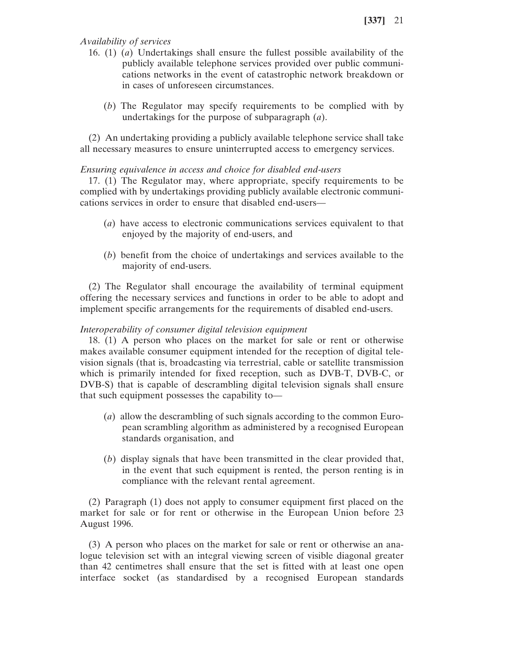*Availability of services*

- 16. (1) (*a*) Undertakings shall ensure the fullest possible availability of the publicly available telephone services provided over public communications networks in the event of catastrophic network breakdown or in cases of unforeseen circumstances.
	- (*b*) The Regulator may specify requirements to be complied with by undertakings for the purpose of subparagraph (*a*).

(2) An undertaking providing a publicly available telephone service shall take all necessary measures to ensure uninterrupted access to emergency services.

# *Ensuring equivalence in access and choice for disabled end-users*

17. (1) The Regulator may, where appropriate, specify requirements to be complied with by undertakings providing publicly available electronic communications services in order to ensure that disabled end-users—

- (*a*) have access to electronic communications services equivalent to that enjoyed by the majority of end-users, and
- (*b*) benefit from the choice of undertakings and services available to the majority of end-users.

(2) The Regulator shall encourage the availability of terminal equipment offering the necessary services and functions in order to be able to adopt and implement specific arrangements for the requirements of disabled end-users.

## *Interoperability of consumer digital television equipment*

18. (1) A person who places on the market for sale or rent or otherwise makes available consumer equipment intended for the reception of digital television signals (that is, broadcasting via terrestrial, cable or satellite transmission which is primarily intended for fixed reception, such as DVB-T, DVB-C, or DVB-S) that is capable of descrambling digital television signals shall ensure that such equipment possesses the capability to—

- (*a*) allow the descrambling of such signals according to the common European scrambling algorithm as administered by a recognised European standards organisation, and
- (*b*) display signals that have been transmitted in the clear provided that, in the event that such equipment is rented, the person renting is in compliance with the relevant rental agreement.

(2) Paragraph (1) does not apply to consumer equipment first placed on the market for sale or for rent or otherwise in the European Union before 23 August 1996.

(3) A person who places on the market for sale or rent or otherwise an analogue television set with an integral viewing screen of visible diagonal greater than 42 centimetres shall ensure that the set is fitted with at least one open interface socket (as standardised by a recognised European standards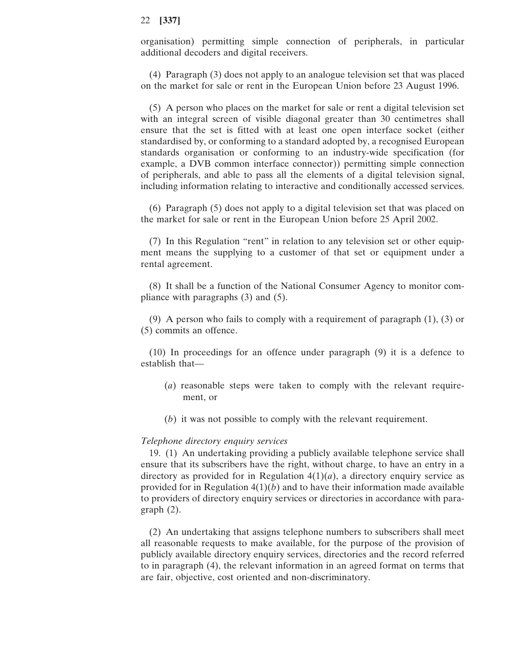organisation) permitting simple connection of peripherals, in particular additional decoders and digital receivers.

(4) Paragraph (3) does not apply to an analogue television set that was placed on the market for sale or rent in the European Union before 23 August 1996.

(5) A person who places on the market for sale or rent a digital television set with an integral screen of visible diagonal greater than 30 centimetres shall ensure that the set is fitted with at least one open interface socket (either standardised by, or conforming to a standard adopted by, a recognised European standards organisation or conforming to an industry-wide specification (for example, a DVB common interface connector)) permitting simple connection of peripherals, and able to pass all the elements of a digital television signal, including information relating to interactive and conditionally accessed services.

(6) Paragraph (5) does not apply to a digital television set that was placed on the market for sale or rent in the European Union before 25 April 2002.

(7) In this Regulation "rent" in relation to any television set or other equipment means the supplying to a customer of that set or equipment under a rental agreement.

(8) It shall be a function of the National Consumer Agency to monitor compliance with paragraphs (3) and (5).

(9) A person who fails to comply with a requirement of paragraph (1), (3) or (5) commits an offence.

(10) In proceedings for an offence under paragraph (9) it is a defence to establish that—

- (*a*) reasonable steps were taken to comply with the relevant requirement, or
- (*b*) it was not possible to comply with the relevant requirement.

#### *Telephone directory enquiry services*

19. (1) An undertaking providing a publicly available telephone service shall ensure that its subscribers have the right, without charge, to have an entry in a directory as provided for in Regulation  $4(1)(a)$ , a directory enquiry service as provided for in Regulation  $4(1)(b)$  and to have their information made available to providers of directory enquiry services or directories in accordance with paragraph (2).

(2) An undertaking that assigns telephone numbers to subscribers shall meet all reasonable requests to make available, for the purpose of the provision of publicly available directory enquiry services, directories and the record referred to in paragraph (4), the relevant information in an agreed format on terms that are fair, objective, cost oriented and non-discriminatory.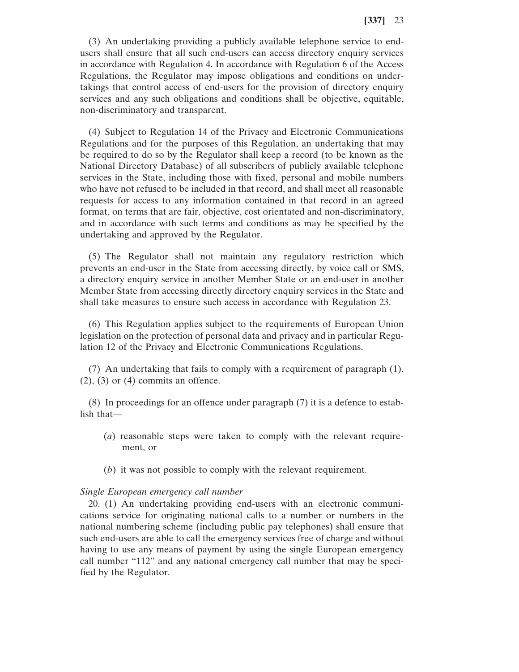(3) An undertaking providing a publicly available telephone service to endusers shall ensure that all such end-users can access directory enquiry services in accordance with Regulation 4. In accordance with Regulation 6 of the Access Regulations, the Regulator may impose obligations and conditions on undertakings that control access of end-users for the provision of directory enquiry services and any such obligations and conditions shall be objective, equitable, non-discriminatory and transparent.

(4) Subject to Regulation 14 of the Privacy and Electronic Communications Regulations and for the purposes of this Regulation, an undertaking that may be required to do so by the Regulator shall keep a record (to be known as the National Directory Database) of all subscribers of publicly available telephone services in the State, including those with fixed, personal and mobile numbers who have not refused to be included in that record, and shall meet all reasonable requests for access to any information contained in that record in an agreed format, on terms that are fair, objective, cost orientated and non-discriminatory, and in accordance with such terms and conditions as may be specified by the undertaking and approved by the Regulator.

(5) The Regulator shall not maintain any regulatory restriction which prevents an end-user in the State from accessing directly, by voice call or SMS, a directory enquiry service in another Member State or an end-user in another Member State from accessing directly directory enquiry services in the State and shall take measures to ensure such access in accordance with Regulation 23.

(6) This Regulation applies subject to the requirements of European Union legislation on the protection of personal data and privacy and in particular Regulation 12 of the Privacy and Electronic Communications Regulations.

(7) An undertaking that fails to comply with a requirement of paragraph (1),  $(2)$ ,  $(3)$  or  $(4)$  commits an offence.

(8) In proceedings for an offence under paragraph (7) it is a defence to establish that—

- (*a*) reasonable steps were taken to comply with the relevant requirement, or
- (*b*) it was not possible to comply with the relevant requirement.

#### *Single European emergency call number*

20. (1) An undertaking providing end-users with an electronic communications service for originating national calls to a number or numbers in the national numbering scheme (including public pay telephones) shall ensure that such end-users are able to call the emergency services free of charge and without having to use any means of payment by using the single European emergency call number "112" and any national emergency call number that may be specified by the Regulator.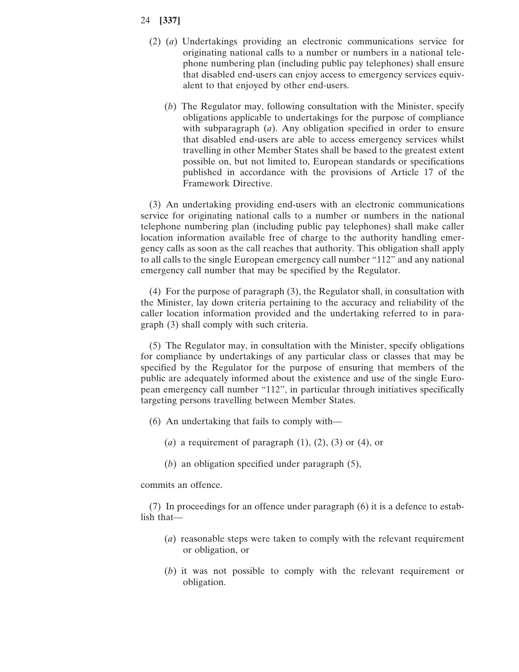- (2) (*a*) Undertakings providing an electronic communications service for originating national calls to a number or numbers in a national telephone numbering plan (including public pay telephones) shall ensure that disabled end-users can enjoy access to emergency services equivalent to that enjoyed by other end-users.
	- (*b*) The Regulator may, following consultation with the Minister, specify obligations applicable to undertakings for the purpose of compliance with subparagraph (*a*). Any obligation specified in order to ensure that disabled end-users are able to access emergency services whilst travelling in other Member States shall be based to the greatest extent possible on, but not limited to, European standards or specifications published in accordance with the provisions of Article 17 of the Framework Directive.

(3) An undertaking providing end-users with an electronic communications service for originating national calls to a number or numbers in the national telephone numbering plan (including public pay telephones) shall make caller location information available free of charge to the authority handling emergency calls as soon as the call reaches that authority. This obligation shall apply to all calls to the single European emergency call number "112" and any national emergency call number that may be specified by the Regulator.

(4) For the purpose of paragraph (3), the Regulator shall, in consultation with the Minister, lay down criteria pertaining to the accuracy and reliability of the caller location information provided and the undertaking referred to in paragraph (3) shall comply with such criteria.

(5) The Regulator may, in consultation with the Minister, specify obligations for compliance by undertakings of any particular class or classes that may be specified by the Regulator for the purpose of ensuring that members of the public are adequately informed about the existence and use of the single European emergency call number "112", in particular through initiatives specifically targeting persons travelling between Member States.

- (6) An undertaking that fails to comply with—
	- (*a*) a requirement of paragraph  $(1)$ ,  $(2)$ ,  $(3)$  or  $(4)$ , or
	- (*b*) an obligation specified under paragraph (5),

commits an offence.

(7) In proceedings for an offence under paragraph (6) it is a defence to establish that—

- (*a*) reasonable steps were taken to comply with the relevant requirement or obligation, or
- (*b*) it was not possible to comply with the relevant requirement or obligation.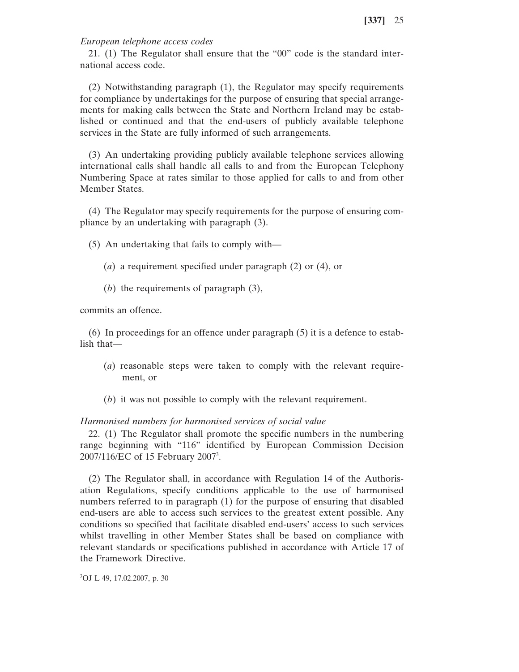### *European telephone access codes*

21. (1) The Regulator shall ensure that the "00" code is the standard international access code.

(2) Notwithstanding paragraph (1), the Regulator may specify requirements for compliance by undertakings for the purpose of ensuring that special arrangements for making calls between the State and Northern Ireland may be established or continued and that the end-users of publicly available telephone services in the State are fully informed of such arrangements.

(3) An undertaking providing publicly available telephone services allowing international calls shall handle all calls to and from the European Telephony Numbering Space at rates similar to those applied for calls to and from other Member States.

(4) The Regulator may specify requirements for the purpose of ensuring compliance by an undertaking with paragraph (3).

(5) An undertaking that fails to comply with—

- (*a*) a requirement specified under paragraph (2) or (4), or
- (*b*) the requirements of paragraph (3),

commits an offence.

(6) In proceedings for an offence under paragraph (5) it is a defence to establish that—

- (*a*) reasonable steps were taken to comply with the relevant requirement, or
- (*b*) it was not possible to comply with the relevant requirement.

### *Harmonised numbers for harmonised services of social value*

22. (1) The Regulator shall promote the specific numbers in the numbering range beginning with "116" identified by European Commission Decision 2007/116/EC of 15 February 2007<sup>3</sup>.

(2) The Regulator shall, in accordance with Regulation 14 of the Authorisation Regulations, specify conditions applicable to the use of harmonised numbers referred to in paragraph (1) for the purpose of ensuring that disabled end-users are able to access such services to the greatest extent possible. Any conditions so specified that facilitate disabled end-users' access to such services whilst travelling in other Member States shall be based on compliance with relevant standards or specifications published in accordance with Article 17 of the Framework Directive.

3 OJ L 49, 17.02.2007, p. 30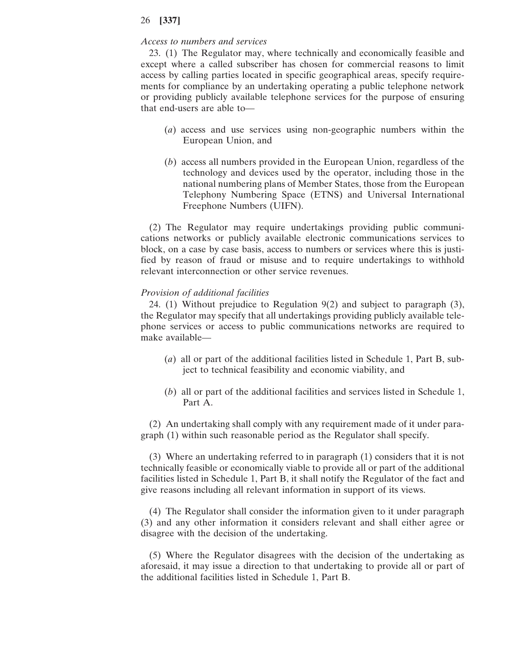#### *Access to numbers and services*

23. (1) The Regulator may, where technically and economically feasible and except where a called subscriber has chosen for commercial reasons to limit access by calling parties located in specific geographical areas, specify requirements for compliance by an undertaking operating a public telephone network or providing publicly available telephone services for the purpose of ensuring that end-users are able to—

- (*a*) access and use services using non-geographic numbers within the European Union, and
- (*b*) access all numbers provided in the European Union, regardless of the technology and devices used by the operator, including those in the national numbering plans of Member States, those from the European Telephony Numbering Space (ETNS) and Universal International Freephone Numbers (UIFN).

(2) The Regulator may require undertakings providing public communications networks or publicly available electronic communications services to block, on a case by case basis, access to numbers or services where this is justified by reason of fraud or misuse and to require undertakings to withhold relevant interconnection or other service revenues.

### *Provision of additional facilities*

24. (1) Without prejudice to Regulation 9(2) and subject to paragraph (3), the Regulator may specify that all undertakings providing publicly available telephone services or access to public communications networks are required to make available—

- (*a*) all or part of the additional facilities listed in Schedule 1, Part B, subject to technical feasibility and economic viability, and
- (*b*) all or part of the additional facilities and services listed in Schedule 1, Part A.

(2) An undertaking shall comply with any requirement made of it under paragraph (1) within such reasonable period as the Regulator shall specify.

(3) Where an undertaking referred to in paragraph (1) considers that it is not technically feasible or economically viable to provide all or part of the additional facilities listed in Schedule 1, Part B, it shall notify the Regulator of the fact and give reasons including all relevant information in support of its views.

(4) The Regulator shall consider the information given to it under paragraph (3) and any other information it considers relevant and shall either agree or disagree with the decision of the undertaking.

(5) Where the Regulator disagrees with the decision of the undertaking as aforesaid, it may issue a direction to that undertaking to provide all or part of the additional facilities listed in Schedule 1, Part B.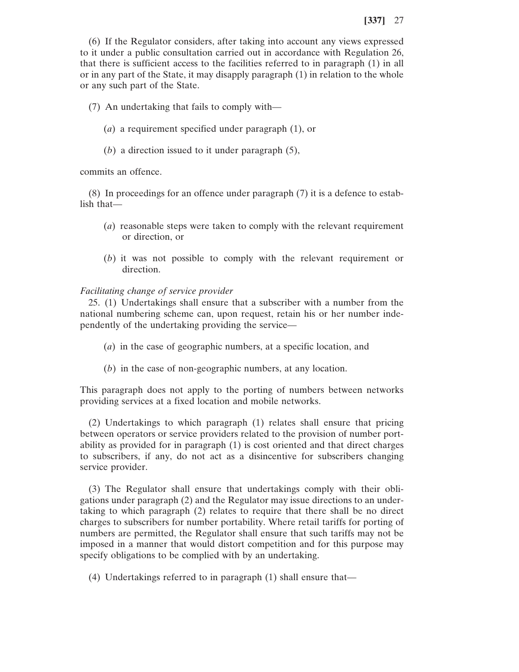(6) If the Regulator considers, after taking into account any views expressed to it under a public consultation carried out in accordance with Regulation 26, that there is sufficient access to the facilities referred to in paragraph (1) in all or in any part of the State, it may disapply paragraph (1) in relation to the whole or any such part of the State.

- (7) An undertaking that fails to comply with—
	- (*a*) a requirement specified under paragraph (1), or
	- (*b*) a direction issued to it under paragraph (5),

commits an offence.

(8) In proceedings for an offence under paragraph (7) it is a defence to establish that—

- (*a*) reasonable steps were taken to comply with the relevant requirement or direction, or
- (*b*) it was not possible to comply with the relevant requirement or direction.

### *Facilitating change of service provider*

25. (1) Undertakings shall ensure that a subscriber with a number from the national numbering scheme can, upon request, retain his or her number independently of the undertaking providing the service—

- (*a*) in the case of geographic numbers, at a specific location, and
- (*b*) in the case of non-geographic numbers, at any location.

This paragraph does not apply to the porting of numbers between networks providing services at a fixed location and mobile networks.

(2) Undertakings to which paragraph (1) relates shall ensure that pricing between operators or service providers related to the provision of number portability as provided for in paragraph (1) is cost oriented and that direct charges to subscribers, if any, do not act as a disincentive for subscribers changing service provider.

(3) The Regulator shall ensure that undertakings comply with their obligations under paragraph (2) and the Regulator may issue directions to an undertaking to which paragraph (2) relates to require that there shall be no direct charges to subscribers for number portability. Where retail tariffs for porting of numbers are permitted, the Regulator shall ensure that such tariffs may not be imposed in a manner that would distort competition and for this purpose may specify obligations to be complied with by an undertaking.

(4) Undertakings referred to in paragraph (1) shall ensure that—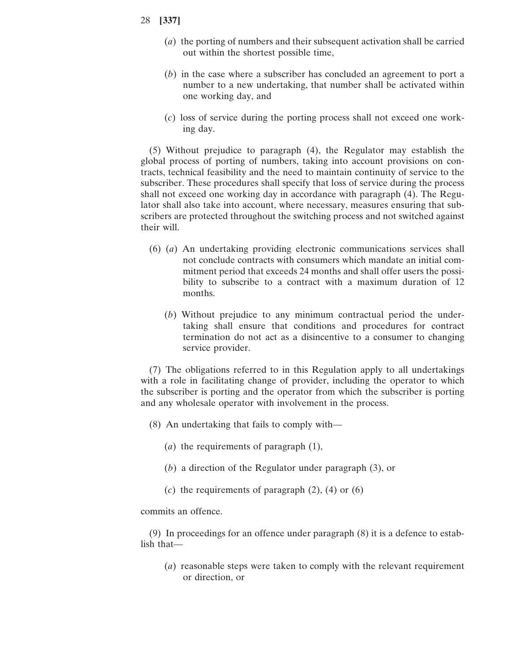- 28 **[337]**
	- (*a*) the porting of numbers and their subsequent activation shall be carried out within the shortest possible time,
	- (*b*) in the case where a subscriber has concluded an agreement to port a number to a new undertaking, that number shall be activated within one working day, and
	- (*c*) loss of service during the porting process shall not exceed one working day.

(5) Without prejudice to paragraph (4), the Regulator may establish the global process of porting of numbers, taking into account provisions on contracts, technical feasibility and the need to maintain continuity of service to the subscriber. These procedures shall specify that loss of service during the process shall not exceed one working day in accordance with paragraph (4). The Regulator shall also take into account, where necessary, measures ensuring that subscribers are protected throughout the switching process and not switched against their will.

- (6) (*a*) An undertaking providing electronic communications services shall not conclude contracts with consumers which mandate an initial commitment period that exceeds 24 months and shall offer users the possibility to subscribe to a contract with a maximum duration of 12 months.
	- (*b*) Without prejudice to any minimum contractual period the undertaking shall ensure that conditions and procedures for contract termination do not act as a disincentive to a consumer to changing service provider.

(7) The obligations referred to in this Regulation apply to all undertakings with a role in facilitating change of provider, including the operator to which the subscriber is porting and the operator from which the subscriber is porting and any wholesale operator with involvement in the process.

- (8) An undertaking that fails to comply with—
	- (*a*) the requirements of paragraph (1),
	- (*b*) a direction of the Regulator under paragraph (3), or
	- (*c*) the requirements of paragraph (2), (4) or (6)

commits an offence.

(9) In proceedings for an offence under paragraph (8) it is a defence to establish that—

(*a*) reasonable steps were taken to comply with the relevant requirement or direction, or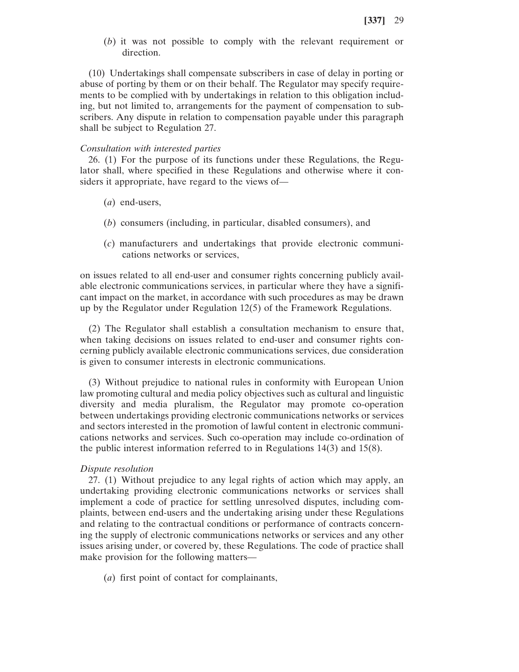(*b*) it was not possible to comply with the relevant requirement or direction.

(10) Undertakings shall compensate subscribers in case of delay in porting or abuse of porting by them or on their behalf. The Regulator may specify requirements to be complied with by undertakings in relation to this obligation including, but not limited to, arrangements for the payment of compensation to subscribers. Any dispute in relation to compensation payable under this paragraph shall be subject to Regulation 27.

#### *Consultation with interested parties*

26. (1) For the purpose of its functions under these Regulations, the Regulator shall, where specified in these Regulations and otherwise where it considers it appropriate, have regard to the views of—

- (*a*) end-users,
- (*b*) consumers (including, in particular, disabled consumers), and
- (*c*) manufacturers and undertakings that provide electronic communications networks or services,

on issues related to all end-user and consumer rights concerning publicly available electronic communications services, in particular where they have a significant impact on the market, in accordance with such procedures as may be drawn up by the Regulator under Regulation 12(5) of the Framework Regulations.

(2) The Regulator shall establish a consultation mechanism to ensure that, when taking decisions on issues related to end-user and consumer rights concerning publicly available electronic communications services, due consideration is given to consumer interests in electronic communications.

(3) Without prejudice to national rules in conformity with European Union law promoting cultural and media policy objectives such as cultural and linguistic diversity and media pluralism, the Regulator may promote co-operation between undertakings providing electronic communications networks or services and sectors interested in the promotion of lawful content in electronic communications networks and services. Such co-operation may include co-ordination of the public interest information referred to in Regulations 14(3) and 15(8).

#### *Dispute resolution*

27. (1) Without prejudice to any legal rights of action which may apply, an undertaking providing electronic communications networks or services shall implement a code of practice for settling unresolved disputes, including complaints, between end-users and the undertaking arising under these Regulations and relating to the contractual conditions or performance of contracts concerning the supply of electronic communications networks or services and any other issues arising under, or covered by, these Regulations. The code of practice shall make provision for the following matters—

(*a*) first point of contact for complainants,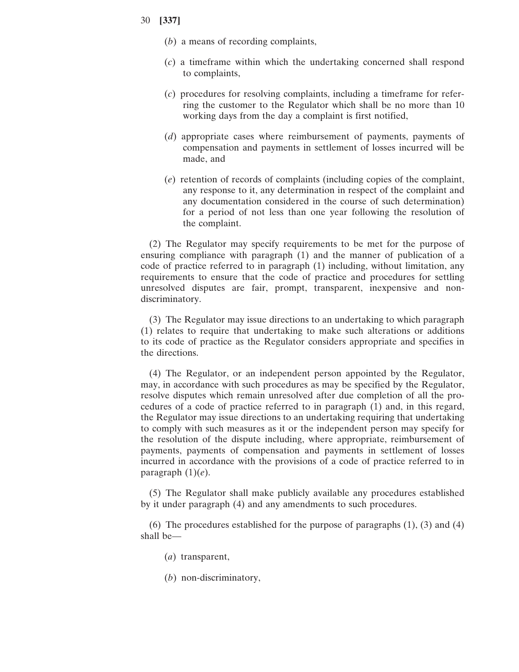- (*b*) a means of recording complaints,
- (*c*) a timeframe within which the undertaking concerned shall respond to complaints,
- (*c*) procedures for resolving complaints, including a timeframe for referring the customer to the Regulator which shall be no more than 10 working days from the day a complaint is first notified,
- (*d*) appropriate cases where reimbursement of payments, payments of compensation and payments in settlement of losses incurred will be made, and
- (*e*) retention of records of complaints (including copies of the complaint, any response to it, any determination in respect of the complaint and any documentation considered in the course of such determination) for a period of not less than one year following the resolution of the complaint.

(2) The Regulator may specify requirements to be met for the purpose of ensuring compliance with paragraph (1) and the manner of publication of a code of practice referred to in paragraph (1) including, without limitation, any requirements to ensure that the code of practice and procedures for settling unresolved disputes are fair, prompt, transparent, inexpensive and nondiscriminatory.

(3) The Regulator may issue directions to an undertaking to which paragraph (1) relates to require that undertaking to make such alterations or additions to its code of practice as the Regulator considers appropriate and specifies in the directions.

(4) The Regulator, or an independent person appointed by the Regulator, may, in accordance with such procedures as may be specified by the Regulator, resolve disputes which remain unresolved after due completion of all the procedures of a code of practice referred to in paragraph (1) and, in this regard, the Regulator may issue directions to an undertaking requiring that undertaking to comply with such measures as it or the independent person may specify for the resolution of the dispute including, where appropriate, reimbursement of payments, payments of compensation and payments in settlement of losses incurred in accordance with the provisions of a code of practice referred to in paragraph  $(1)(e)$ .

(5) The Regulator shall make publicly available any procedures established by it under paragraph (4) and any amendments to such procedures.

(6) The procedures established for the purpose of paragraphs (1), (3) and (4) shall be—

- (*a*) transparent,
- (*b*) non-discriminatory,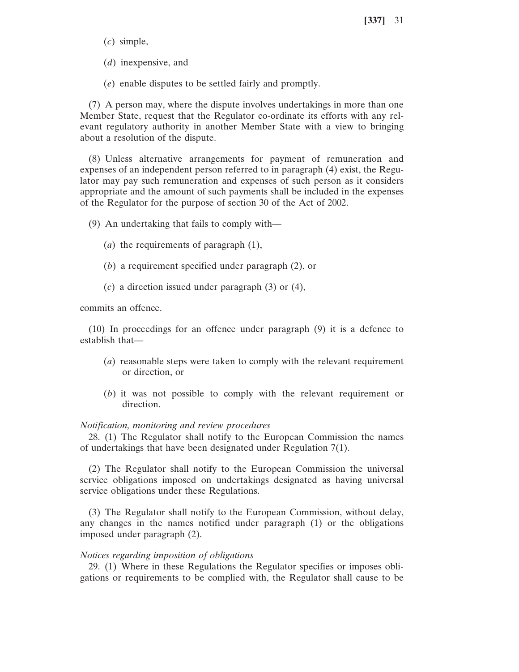(*c*) simple,

(*d*) inexpensive, and

(*e*) enable disputes to be settled fairly and promptly.

(7) A person may, where the dispute involves undertakings in more than one Member State, request that the Regulator co-ordinate its efforts with any relevant regulatory authority in another Member State with a view to bringing about a resolution of the dispute.

(8) Unless alternative arrangements for payment of remuneration and expenses of an independent person referred to in paragraph (4) exist, the Regulator may pay such remuneration and expenses of such person as it considers appropriate and the amount of such payments shall be included in the expenses of the Regulator for the purpose of section 30 of the Act of 2002.

(9) An undertaking that fails to comply with—

- (*a*) the requirements of paragraph (1),
- (*b*) a requirement specified under paragraph (2), or
- (*c*) a direction issued under paragraph (3) or (4),

commits an offence.

(10) In proceedings for an offence under paragraph (9) it is a defence to establish that—

- (*a*) reasonable steps were taken to comply with the relevant requirement or direction, or
- (*b*) it was not possible to comply with the relevant requirement or direction.

### *Notification, monitoring and review procedures*

28. (1) The Regulator shall notify to the European Commission the names of undertakings that have been designated under Regulation 7(1).

(2) The Regulator shall notify to the European Commission the universal service obligations imposed on undertakings designated as having universal service obligations under these Regulations.

(3) The Regulator shall notify to the European Commission, without delay, any changes in the names notified under paragraph (1) or the obligations imposed under paragraph (2).

#### *Notices regarding imposition of obligations*

29. (1) Where in these Regulations the Regulator specifies or imposes obligations or requirements to be complied with, the Regulator shall cause to be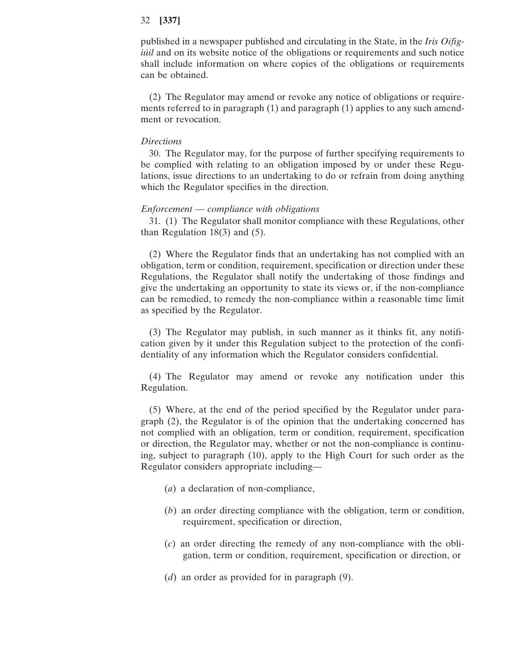published in a newspaper published and circulating in the State, in the *Iris Oifigiúil* and on its website notice of the obligations or requirements and such notice shall include information on where copies of the obligations or requirements can be obtained.

(2) The Regulator may amend or revoke any notice of obligations or requirements referred to in paragraph (1) and paragraph (1) applies to any such amendment or revocation.

### *Directions*

30. The Regulator may, for the purpose of further specifying requirements to be complied with relating to an obligation imposed by or under these Regulations, issue directions to an undertaking to do or refrain from doing anything which the Regulator specifies in the direction.

#### *Enforcement* — *compliance with obligations*

31. (1) The Regulator shall monitor compliance with these Regulations, other than Regulation  $18(3)$  and  $(5)$ .

(2) Where the Regulator finds that an undertaking has not complied with an obligation, term or condition, requirement, specification or direction under these Regulations, the Regulator shall notify the undertaking of those findings and give the undertaking an opportunity to state its views or, if the non-compliance can be remedied, to remedy the non-compliance within a reasonable time limit as specified by the Regulator.

(3) The Regulator may publish, in such manner as it thinks fit, any notification given by it under this Regulation subject to the protection of the confidentiality of any information which the Regulator considers confidential.

(4) The Regulator may amend or revoke any notification under this Regulation.

(5) Where, at the end of the period specified by the Regulator under paragraph (2), the Regulator is of the opinion that the undertaking concerned has not complied with an obligation, term or condition, requirement, specification or direction, the Regulator may, whether or not the non-compliance is continuing, subject to paragraph (10), apply to the High Court for such order as the Regulator considers appropriate including—

- (*a*) a declaration of non-compliance,
- (*b*) an order directing compliance with the obligation, term or condition, requirement, specification or direction,
- (*c*) an order directing the remedy of any non-compliance with the obligation, term or condition, requirement, specification or direction, or
- (*d*) an order as provided for in paragraph (9).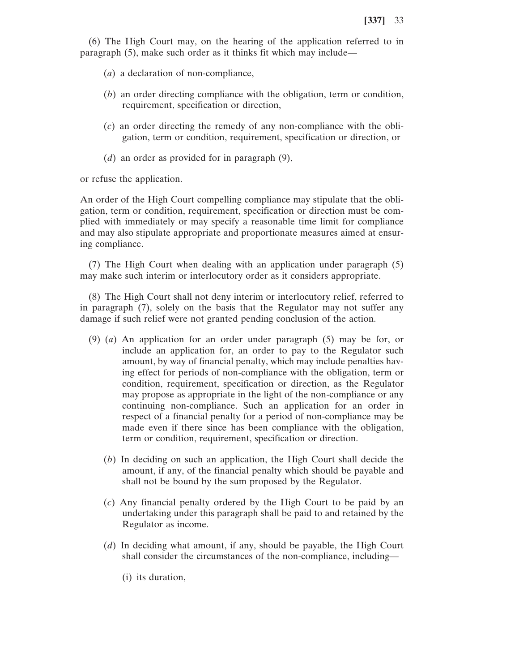(6) The High Court may, on the hearing of the application referred to in paragraph (5), make such order as it thinks fit which may include—

- (*a*) a declaration of non-compliance,
- (*b*) an order directing compliance with the obligation, term or condition, requirement, specification or direction,
- (*c*) an order directing the remedy of any non-compliance with the obligation, term or condition, requirement, specification or direction, or
- (*d*) an order as provided for in paragraph (9),

or refuse the application.

An order of the High Court compelling compliance may stipulate that the obligation, term or condition, requirement, specification or direction must be complied with immediately or may specify a reasonable time limit for compliance and may also stipulate appropriate and proportionate measures aimed at ensuring compliance.

(7) The High Court when dealing with an application under paragraph (5) may make such interim or interlocutory order as it considers appropriate.

(8) The High Court shall not deny interim or interlocutory relief, referred to in paragraph (7), solely on the basis that the Regulator may not suffer any damage if such relief were not granted pending conclusion of the action.

- (9) (*a*) An application for an order under paragraph (5) may be for, or include an application for, an order to pay to the Regulator such amount, by way of financial penalty, which may include penalties having effect for periods of non-compliance with the obligation, term or condition, requirement, specification or direction, as the Regulator may propose as appropriate in the light of the non-compliance or any continuing non-compliance. Such an application for an order in respect of a financial penalty for a period of non-compliance may be made even if there since has been compliance with the obligation, term or condition, requirement, specification or direction.
	- (*b*) In deciding on such an application, the High Court shall decide the amount, if any, of the financial penalty which should be payable and shall not be bound by the sum proposed by the Regulator.
	- (*c*) Any financial penalty ordered by the High Court to be paid by an undertaking under this paragraph shall be paid to and retained by the Regulator as income.
	- (*d*) In deciding what amount, if any, should be payable, the High Court shall consider the circumstances of the non-compliance, including—
		- (i) its duration,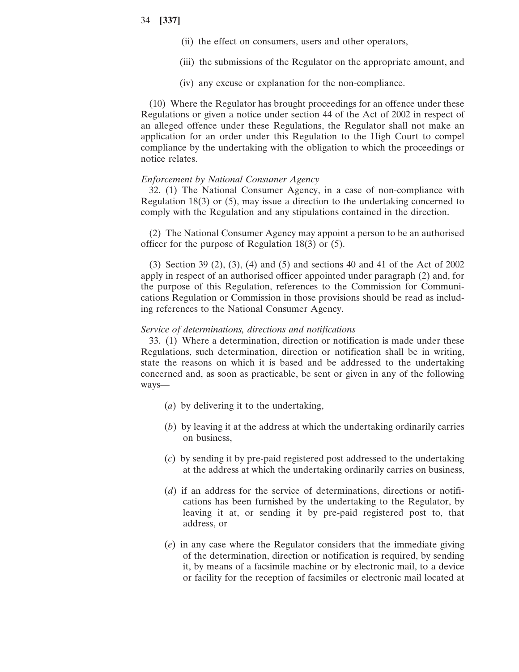- (ii) the effect on consumers, users and other operators,
- (iii) the submissions of the Regulator on the appropriate amount, and
- (iv) any excuse or explanation for the non-compliance.

(10) Where the Regulator has brought proceedings for an offence under these Regulations or given a notice under section 44 of the Act of 2002 in respect of an alleged offence under these Regulations, the Regulator shall not make an application for an order under this Regulation to the High Court to compel compliance by the undertaking with the obligation to which the proceedings or notice relates.

#### *Enforcement by National Consumer Agency*

32. (1) The National Consumer Agency, in a case of non-compliance with Regulation 18(3) or (5), may issue a direction to the undertaking concerned to comply with the Regulation and any stipulations contained in the direction.

(2) The National Consumer Agency may appoint a person to be an authorised officer for the purpose of Regulation 18(3) or (5).

(3) Section 39 (2), (3), (4) and (5) and sections 40 and 41 of the Act of 2002 apply in respect of an authorised officer appointed under paragraph (2) and, for the purpose of this Regulation, references to the Commission for Communications Regulation or Commission in those provisions should be read as including references to the National Consumer Agency.

#### *Service of determinations, directions and notifications*

33. (1) Where a determination, direction or notification is made under these Regulations, such determination, direction or notification shall be in writing, state the reasons on which it is based and be addressed to the undertaking concerned and, as soon as practicable, be sent or given in any of the following ways—

- (*a*) by delivering it to the undertaking,
- (*b*) by leaving it at the address at which the undertaking ordinarily carries on business,
- (*c*) by sending it by pre-paid registered post addressed to the undertaking at the address at which the undertaking ordinarily carries on business,
- (*d*) if an address for the service of determinations, directions or notifications has been furnished by the undertaking to the Regulator, by leaving it at, or sending it by pre-paid registered post to, that address, or
- (*e*) in any case where the Regulator considers that the immediate giving of the determination, direction or notification is required, by sending it, by means of a facsimile machine or by electronic mail, to a device or facility for the reception of facsimiles or electronic mail located at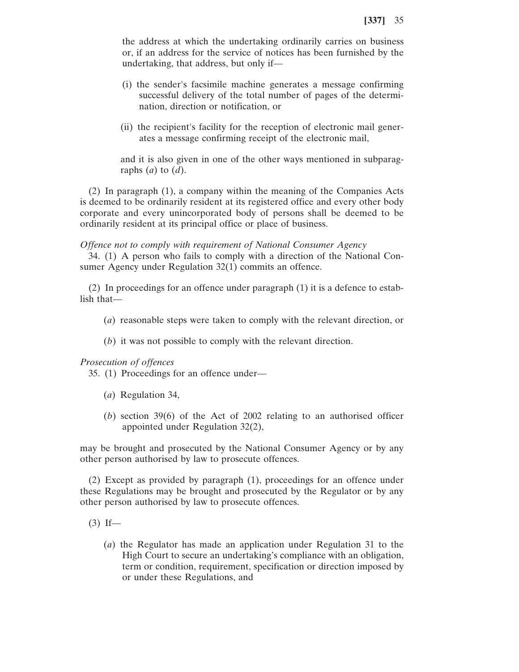the address at which the undertaking ordinarily carries on business or, if an address for the service of notices has been furnished by the undertaking, that address, but only if—

- (i) the sender's facsimile machine generates a message confirming successful delivery of the total number of pages of the determination, direction or notification, or
- (ii) the recipient's facility for the reception of electronic mail generates a message confirming receipt of the electronic mail,

and it is also given in one of the other ways mentioned in subparagraphs (*a*) to (*d*).

(2) In paragraph (1), a company within the meaning of the Companies Acts is deemed to be ordinarily resident at its registered office and every other body corporate and every unincorporated body of persons shall be deemed to be ordinarily resident at its principal office or place of business.

#### *Offence not to comply with requirement of National Consumer Agency*

34. (1) A person who fails to comply with a direction of the National Consumer Agency under Regulation 32(1) commits an offence.

(2) In proceedings for an offence under paragraph (1) it is a defence to establish that—

- (*a*) reasonable steps were taken to comply with the relevant direction, or
- (*b*) it was not possible to comply with the relevant direction.

### *Prosecution of offences*

35. (1) Proceedings for an offence under—

- (*a*) Regulation 34,
- (*b*) section 39(6) of the Act of 2002 relating to an authorised officer appointed under Regulation 32(2),

may be brought and prosecuted by the National Consumer Agency or by any other person authorised by law to prosecute offences.

(2) Except as provided by paragraph (1), proceedings for an offence under these Regulations may be brought and prosecuted by the Regulator or by any other person authorised by law to prosecute offences.

- $(3)$  If—
	- (*a*) the Regulator has made an application under Regulation 31 to the High Court to secure an undertaking's compliance with an obligation, term or condition, requirement, specification or direction imposed by or under these Regulations, and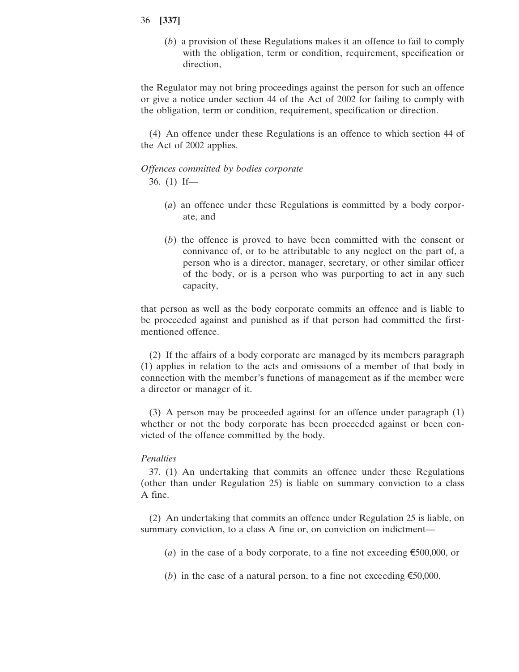(*b*) a provision of these Regulations makes it an offence to fail to comply with the obligation, term or condition, requirement, specification or direction,

the Regulator may not bring proceedings against the person for such an offence or give a notice under section 44 of the Act of 2002 for failing to comply with the obligation, term or condition, requirement, specification or direction.

(4) An offence under these Regulations is an offence to which section 44 of the Act of 2002 applies.

*Offences committed by bodies corporate* 36. (1) If—

- (*a*) an offence under these Regulations is committed by a body corporate, and
- (*b*) the offence is proved to have been committed with the consent or connivance of, or to be attributable to any neglect on the part of, a person who is a director, manager, secretary, or other similar officer of the body, or is a person who was purporting to act in any such capacity,

that person as well as the body corporate commits an offence and is liable to be proceeded against and punished as if that person had committed the firstmentioned offence.

(2) If the affairs of a body corporate are managed by its members paragraph (1) applies in relation to the acts and omissions of a member of that body in connection with the member's functions of management as if the member were a director or manager of it.

(3) A person may be proceeded against for an offence under paragraph (1) whether or not the body corporate has been proceeded against or been convicted of the offence committed by the body.

### *Penalties*

37. (1) An undertaking that commits an offence under these Regulations (other than under Regulation 25) is liable on summary conviction to a class A fine.

(2) An undertaking that commits an offence under Regulation 25 is liable, on summary conviction, to a class A fine or, on conviction on indictment—

- (*a*) in the case of a body corporate, to a fine not exceeding  $\epsilon$ 500,000, or
- (*b*) in the case of a natural person, to a fine not exceeding  $\epsilon$ 50,000.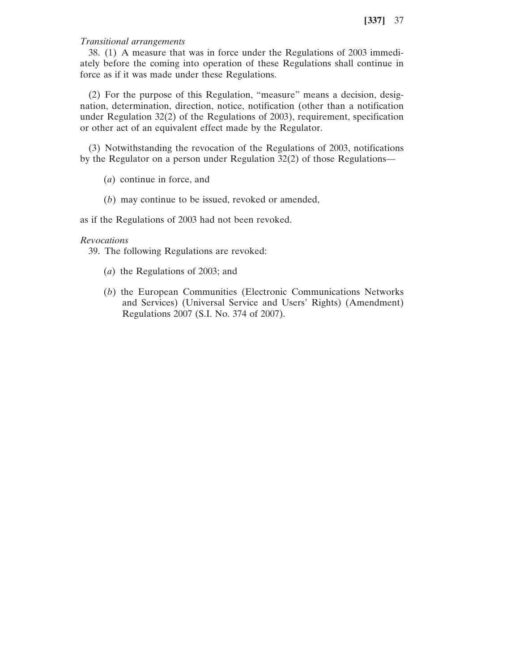### *Transitional arrangements*

38. (1) A measure that was in force under the Regulations of 2003 immediately before the coming into operation of these Regulations shall continue in force as if it was made under these Regulations.

(2) For the purpose of this Regulation, "measure" means a decision, designation, determination, direction, notice, notification (other than a notification under Regulation 32(2) of the Regulations of 2003), requirement, specification or other act of an equivalent effect made by the Regulator.

(3) Notwithstanding the revocation of the Regulations of 2003, notifications by the Regulator on a person under Regulation 32(2) of those Regulations—

(*a*) continue in force, and

(*b*) may continue to be issued, revoked or amended,

as if the Regulations of 2003 had not been revoked.

## *Revocations*

39. The following Regulations are revoked:

- (*a*) the Regulations of 2003; and
- (*b*) the European Communities (Electronic Communications Networks and Services) (Universal Service and Users' Rights) (Amendment) Regulations 2007 (S.I. No. 374 of 2007).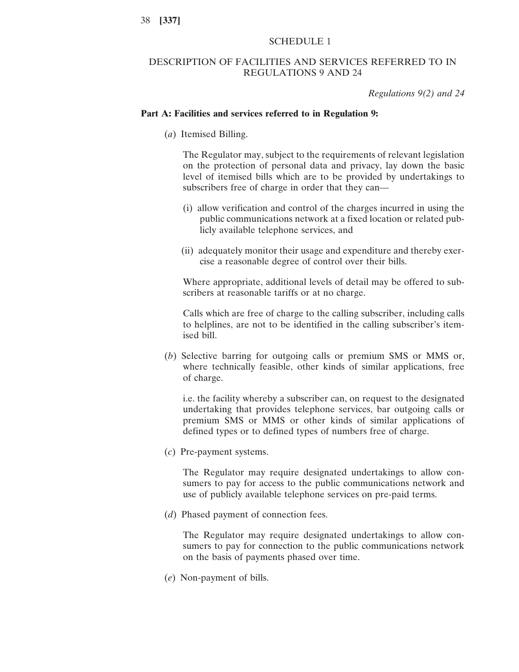# SCHEDULE 1

# DESCRIPTION OF FACILITIES AND SERVICES REFERRED TO IN REGULATIONS 9 AND 24

*Regulations 9(2) and 24*

#### **Part A: Facilities and services referred to in Regulation 9:**

(*a*) Itemised Billing.

The Regulator may, subject to the requirements of relevant legislation on the protection of personal data and privacy, lay down the basic level of itemised bills which are to be provided by undertakings to subscribers free of charge in order that they can—

- (i) allow verification and control of the charges incurred in using the public communications network at a fixed location or related publicly available telephone services, and
- (ii) adequately monitor their usage and expenditure and thereby exercise a reasonable degree of control over their bills.

Where appropriate, additional levels of detail may be offered to subscribers at reasonable tariffs or at no charge.

Calls which are free of charge to the calling subscriber, including calls to helplines, are not to be identified in the calling subscriber's itemised bill.

(*b*) Selective barring for outgoing calls or premium SMS or MMS or, where technically feasible, other kinds of similar applications, free of charge.

i.e. the facility whereby a subscriber can, on request to the designated undertaking that provides telephone services, bar outgoing calls or premium SMS or MMS or other kinds of similar applications of defined types or to defined types of numbers free of charge.

(*c*) Pre-payment systems.

The Regulator may require designated undertakings to allow consumers to pay for access to the public communications network and use of publicly available telephone services on pre-paid terms.

(*d*) Phased payment of connection fees.

The Regulator may require designated undertakings to allow consumers to pay for connection to the public communications network on the basis of payments phased over time.

(*e*) Non-payment of bills.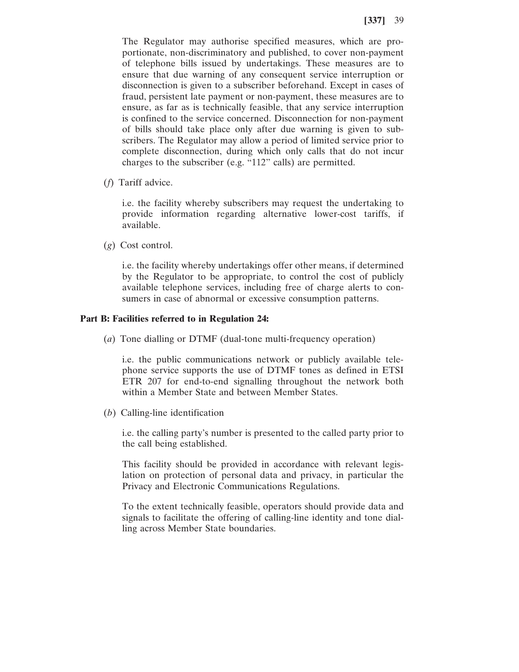The Regulator may authorise specified measures, which are proportionate, non-discriminatory and published, to cover non-payment of telephone bills issued by undertakings. These measures are to ensure that due warning of any consequent service interruption or disconnection is given to a subscriber beforehand. Except in cases of fraud, persistent late payment or non-payment, these measures are to ensure, as far as is technically feasible, that any service interruption is confined to the service concerned. Disconnection for non-payment of bills should take place only after due warning is given to subscribers. The Regulator may allow a period of limited service prior to complete disconnection, during which only calls that do not incur charges to the subscriber (e.g. "112" calls) are permitted.

(*f*) Tariff advice.

i.e. the facility whereby subscribers may request the undertaking to provide information regarding alternative lower-cost tariffs, if available.

(*g*) Cost control.

i.e. the facility whereby undertakings offer other means, if determined by the Regulator to be appropriate, to control the cost of publicly available telephone services, including free of charge alerts to consumers in case of abnormal or excessive consumption patterns.

#### **Part B: Facilities referred to in Regulation 24:**

(*a*) Tone dialling or DTMF (dual-tone multi-frequency operation)

i.e. the public communications network or publicly available telephone service supports the use of DTMF tones as defined in ETSI ETR 207 for end-to-end signalling throughout the network both within a Member State and between Member States.

(*b*) Calling-line identification

i.e. the calling party's number is presented to the called party prior to the call being established.

This facility should be provided in accordance with relevant legislation on protection of personal data and privacy, in particular the Privacy and Electronic Communications Regulations.

To the extent technically feasible, operators should provide data and signals to facilitate the offering of calling-line identity and tone dialling across Member State boundaries.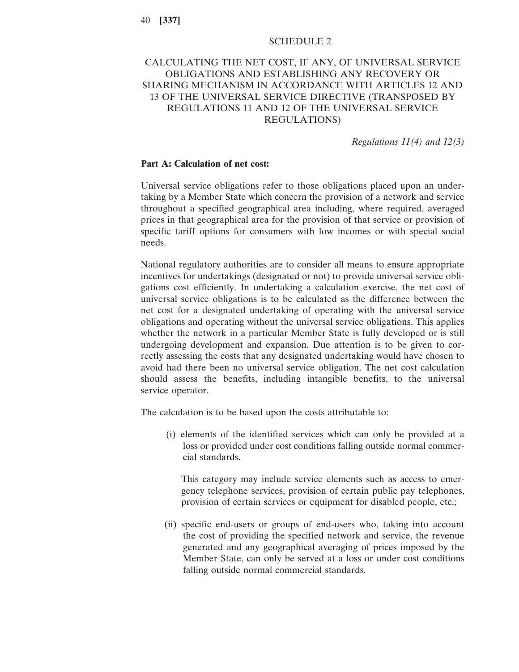### SCHEDULE 2

# CALCULATING THE NET COST, IF ANY, OF UNIVERSAL SERVICE OBLIGATIONS AND ESTABLISHING ANY RECOVERY OR SHARING MECHANISM IN ACCORDANCE WITH ARTICLES 12 AND 13 OF THE UNIVERSAL SERVICE DIRECTIVE (TRANSPOSED BY REGULATIONS 11 AND 12 OF THE UNIVERSAL SERVICE REGULATIONS)

*Regulations 11(4) and 12(3)*

#### **Part A: Calculation of net cost:**

Universal service obligations refer to those obligations placed upon an undertaking by a Member State which concern the provision of a network and service throughout a specified geographical area including, where required, averaged prices in that geographical area for the provision of that service or provision of specific tariff options for consumers with low incomes or with special social needs.

National regulatory authorities are to consider all means to ensure appropriate incentives for undertakings (designated or not) to provide universal service obligations cost efficiently. In undertaking a calculation exercise, the net cost of universal service obligations is to be calculated as the difference between the net cost for a designated undertaking of operating with the universal service obligations and operating without the universal service obligations. This applies whether the network in a particular Member State is fully developed or is still undergoing development and expansion. Due attention is to be given to correctly assessing the costs that any designated undertaking would have chosen to avoid had there been no universal service obligation. The net cost calculation should assess the benefits, including intangible benefits, to the universal service operator.

The calculation is to be based upon the costs attributable to:

(i) elements of the identified services which can only be provided at a loss or provided under cost conditions falling outside normal commercial standards.

This category may include service elements such as access to emergency telephone services, provision of certain public pay telephones, provision of certain services or equipment for disabled people, etc.;

(ii) specific end-users or groups of end-users who, taking into account the cost of providing the specified network and service, the revenue generated and any geographical averaging of prices imposed by the Member State, can only be served at a loss or under cost conditions falling outside normal commercial standards.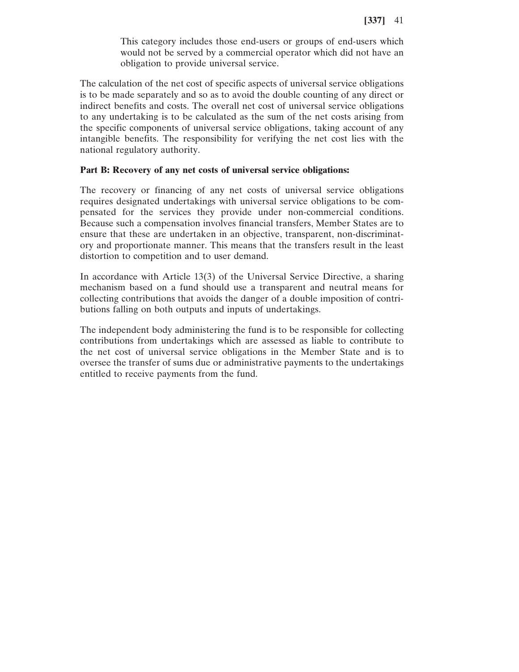This category includes those end-users or groups of end-users which would not be served by a commercial operator which did not have an obligation to provide universal service.

The calculation of the net cost of specific aspects of universal service obligations is to be made separately and so as to avoid the double counting of any direct or indirect benefits and costs. The overall net cost of universal service obligations to any undertaking is to be calculated as the sum of the net costs arising from the specific components of universal service obligations, taking account of any intangible benefits. The responsibility for verifying the net cost lies with the national regulatory authority.

## **Part B: Recovery of any net costs of universal service obligations:**

The recovery or financing of any net costs of universal service obligations requires designated undertakings with universal service obligations to be compensated for the services they provide under non-commercial conditions. Because such a compensation involves financial transfers, Member States are to ensure that these are undertaken in an objective, transparent, non-discriminatory and proportionate manner. This means that the transfers result in the least distortion to competition and to user demand.

In accordance with Article 13(3) of the Universal Service Directive, a sharing mechanism based on a fund should use a transparent and neutral means for collecting contributions that avoids the danger of a double imposition of contributions falling on both outputs and inputs of undertakings.

The independent body administering the fund is to be responsible for collecting contributions from undertakings which are assessed as liable to contribute to the net cost of universal service obligations in the Member State and is to oversee the transfer of sums due or administrative payments to the undertakings entitled to receive payments from the fund.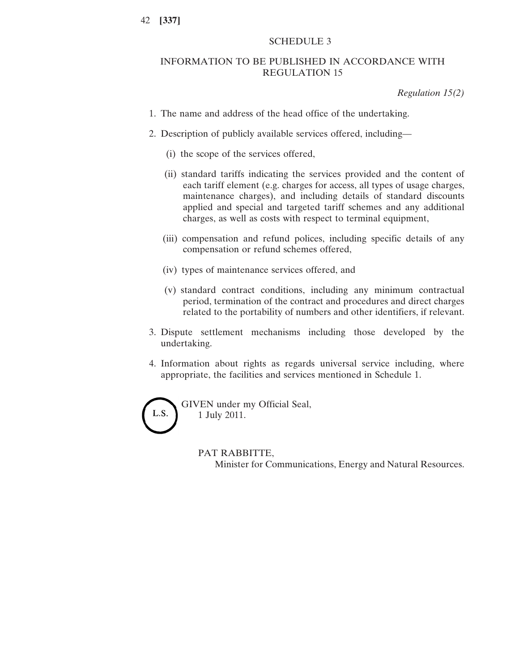# SCHEDULE 3

# INFORMATION TO BE PUBLISHED IN ACCORDANCE WITH REGULATION 15

*Regulation 15(2)*

- 1. The name and address of the head office of the undertaking.
- 2. Description of publicly available services offered, including—
	- (i) the scope of the services offered,
	- (ii) standard tariffs indicating the services provided and the content of each tariff element (e.g. charges for access, all types of usage charges, maintenance charges), and including details of standard discounts applied and special and targeted tariff schemes and any additional charges, as well as costs with respect to terminal equipment,
	- (iii) compensation and refund polices, including specific details of any compensation or refund schemes offered,
	- (iv) types of maintenance services offered, and
	- (v) standard contract conditions, including any minimum contractual period, termination of the contract and procedures and direct charges related to the portability of numbers and other identifiers, if relevant.
- 3. Dispute settlement mechanisms including those developed by the undertaking.
- 4. Information about rights as regards universal service including, where appropriate, the facilities and services mentioned in Schedule 1.



# PAT RABBITTE,

Minister for Communications, Energy and Natural Resources.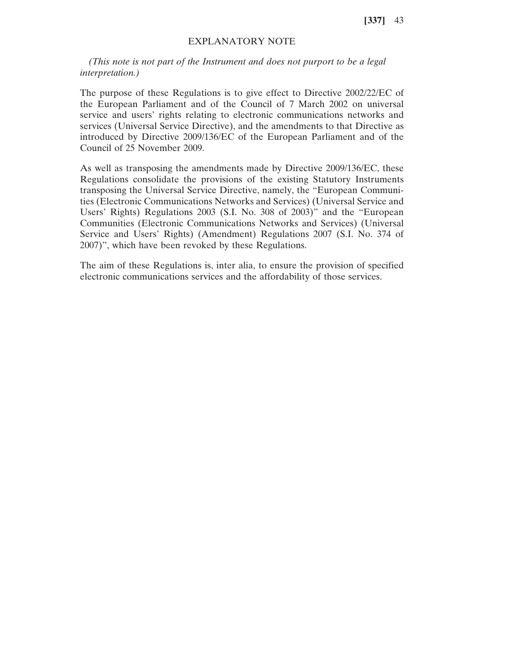# EXPLANATORY NOTE

*(This note is not part of the Instrument and does not purport to be a legal interpretation.)*

The purpose of these Regulations is to give effect to Directive 2002/22/EC of the European Parliament and of the Council of 7 March 2002 on universal service and users' rights relating to electronic communications networks and services (Universal Service Directive), and the amendments to that Directive as introduced by Directive 2009/136/EC of the European Parliament and of the Council of 25 November 2009.

As well as transposing the amendments made by Directive 2009/136/EC, these Regulations consolidate the provisions of the existing Statutory Instruments transposing the Universal Service Directive, namely, the "European Communities (Electronic Communications Networks and Services) (Universal Service and Users' Rights) Regulations 2003 (S.I. No. 308 of 2003)" and the "European Communities (Electronic Communications Networks and Services) (Universal Service and Users' Rights) (Amendment) Regulations 2007 (S.I. No. 374 of 2007)", which have been revoked by these Regulations.

The aim of these Regulations is, inter alia, to ensure the provision of specified electronic communications services and the affordability of those services.